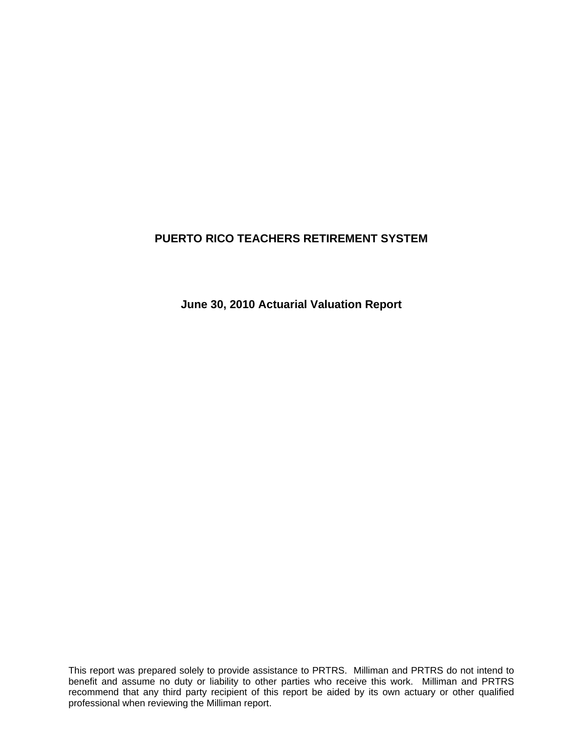**June 30, 2010 Actuarial Valuation Report**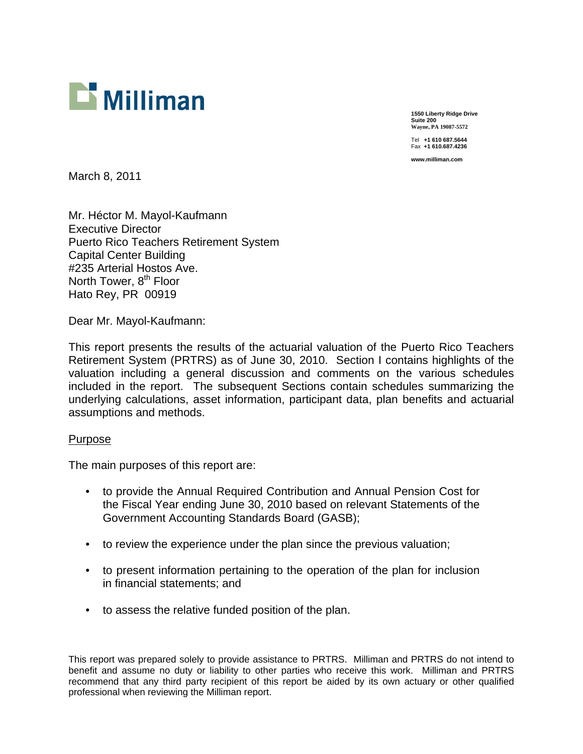

**1550 Liberty Ridge Drive Suite 200 Wayne, PA 19087-5572**  Tel **+1 610 687.5644** 

Fax **+1 610.687.4236 www.milliman.com** 

March 8, 2011

Mr. Héctor M. Mayol-Kaufmann Executive Director Puerto Rico Teachers Retirement System Capital Center Building #235 Arterial Hostos Ave. North Tower, 8<sup>th</sup> Floor Hato Rey, PR 00919

Dear Mr. Mayol-Kaufmann:

This report presents the results of the actuarial valuation of the Puerto Rico Teachers Retirement System (PRTRS) as of June 30, 2010. Section I contains highlights of the valuation including a general discussion and comments on the various schedules included in the report. The subsequent Sections contain schedules summarizing the underlying calculations, asset information, participant data, plan benefits and actuarial assumptions and methods.

#### Purpose

The main purposes of this report are:

- to provide the Annual Required Contribution and Annual Pension Cost for the Fiscal Year ending June 30, 2010 based on relevant Statements of the Government Accounting Standards Board (GASB);
- to review the experience under the plan since the previous valuation;
- to present information pertaining to the operation of the plan for inclusion in financial statements; and
- to assess the relative funded position of the plan.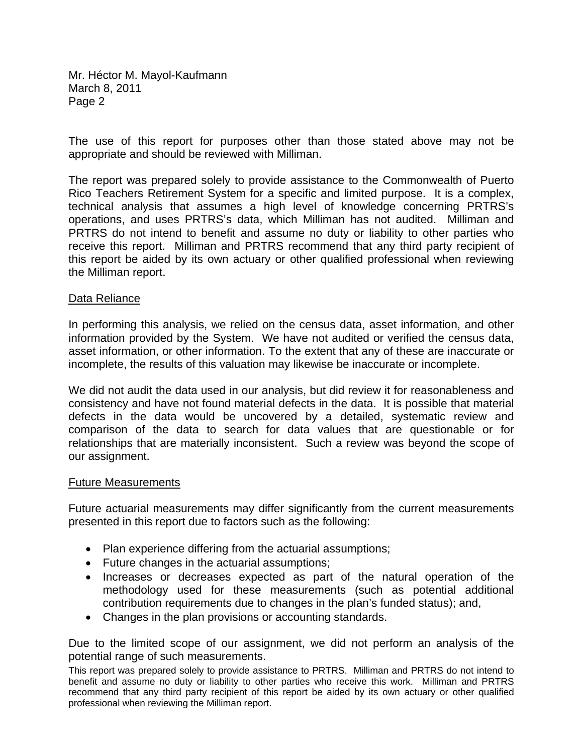Mr. Héctor M. Mayol-Kaufmann March 8, 2011 Page 2

The use of this report for purposes other than those stated above may not be appropriate and should be reviewed with Milliman.

The report was prepared solely to provide assistance to the Commonwealth of Puerto Rico Teachers Retirement System for a specific and limited purpose. It is a complex, technical analysis that assumes a high level of knowledge concerning PRTRS's operations, and uses PRTRS's data, which Milliman has not audited. Milliman and PRTRS do not intend to benefit and assume no duty or liability to other parties who receive this report. Milliman and PRTRS recommend that any third party recipient of this report be aided by its own actuary or other qualified professional when reviewing the Milliman report.

#### Data Reliance

In performing this analysis, we relied on the census data, asset information, and other information provided by the System. We have not audited or verified the census data, asset information, or other information. To the extent that any of these are inaccurate or incomplete, the results of this valuation may likewise be inaccurate or incomplete.

We did not audit the data used in our analysis, but did review it for reasonableness and consistency and have not found material defects in the data. It is possible that material defects in the data would be uncovered by a detailed, systematic review and comparison of the data to search for data values that are questionable or for relationships that are materially inconsistent. Such a review was beyond the scope of our assignment.

#### Future Measurements

Future actuarial measurements may differ significantly from the current measurements presented in this report due to factors such as the following:

- Plan experience differing from the actuarial assumptions;
- Future changes in the actuarial assumptions;
- Increases or decreases expected as part of the natural operation of the methodology used for these measurements (such as potential additional contribution requirements due to changes in the plan's funded status); and,
- Changes in the plan provisions or accounting standards.

Due to the limited scope of our assignment, we did not perform an analysis of the potential range of such measurements.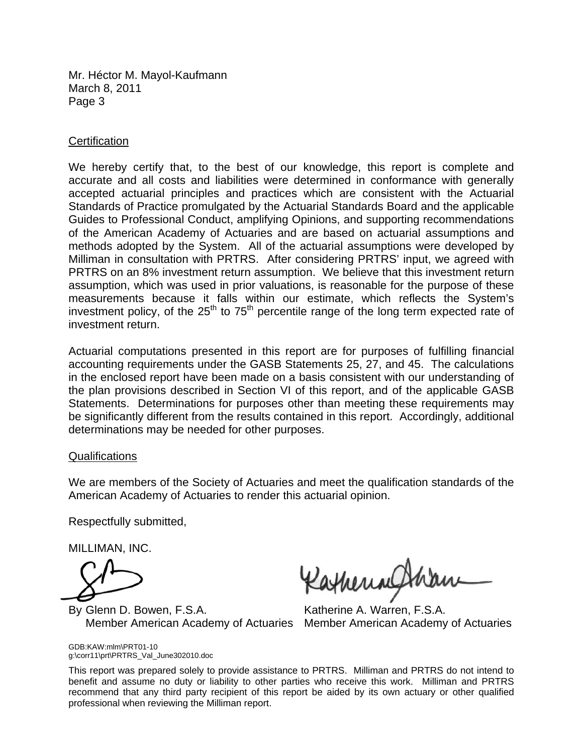Mr. Héctor M. Mayol-Kaufmann March 8, 2011 Page 3

### **Certification**

We hereby certify that, to the best of our knowledge, this report is complete and accurate and all costs and liabilities were determined in conformance with generally accepted actuarial principles and practices which are consistent with the Actuarial Standards of Practice promulgated by the Actuarial Standards Board and the applicable Guides to Professional Conduct, amplifying Opinions, and supporting recommendations of the American Academy of Actuaries and are based on actuarial assumptions and methods adopted by the System. All of the actuarial assumptions were developed by Milliman in consultation with PRTRS. After considering PRTRS' input, we agreed with PRTRS on an 8% investment return assumption. We believe that this investment return assumption, which was used in prior valuations, is reasonable for the purpose of these measurements because it falls within our estimate, which reflects the System's investment policy, of the  $25<sup>th</sup>$  to  $75<sup>th</sup>$  percentile range of the long term expected rate of investment return.

Actuarial computations presented in this report are for purposes of fulfilling financial accounting requirements under the GASB Statements 25, 27, and 45. The calculations in the enclosed report have been made on a basis consistent with our understanding of the plan provisions described in Section VI of this report, and of the applicable GASB Statements. Determinations for purposes other than meeting these requirements may be significantly different from the results contained in this report. Accordingly, additional determinations may be needed for other purposes.

#### Qualifications

We are members of the Society of Actuaries and meet the qualification standards of the American Academy of Actuaries to render this actuarial opinion.

Respectfully submitted,

MILLIMAN, INC.

GDB:KAW:mlm\PRT01-10

g:\corr11\prt\PRTRS\_Val\_June302010.doc

By Glenn D. Bowen, F.S.A. Katherine A. Warren, F.S.A. Member American Academy of Actuaries Member American Academy of Actuaries

Ratheringh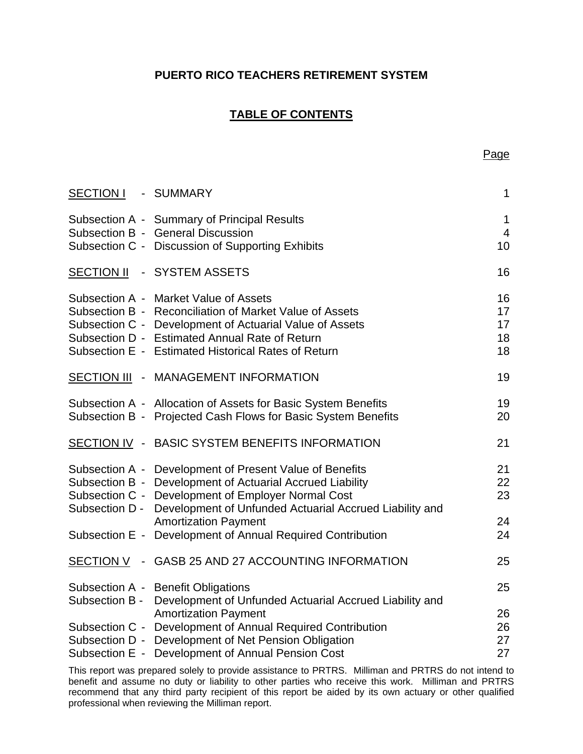# **TABLE OF CONTENTS**

| <b>SECTION I</b>                               | - SUMMARY                                                                                                                                                                                                                                                            | 1                          |
|------------------------------------------------|----------------------------------------------------------------------------------------------------------------------------------------------------------------------------------------------------------------------------------------------------------------------|----------------------------|
|                                                | Subsection A - Summary of Principal Results<br>Subsection B - General Discussion<br>Subsection C - Discussion of Supporting Exhibits                                                                                                                                 | 1<br>$\overline{4}$<br>10  |
| <b>SECTION II</b>                              | - SYSTEM ASSETS                                                                                                                                                                                                                                                      | 16                         |
|                                                | Subsection A - Market Value of Assets<br>Subsection B - Reconciliation of Market Value of Assets<br>Subsection C - Development of Actuarial Value of Assets<br>Subsection D - Estimated Annual Rate of Return<br>Subsection E - Estimated Historical Rates of Return | 16<br>17<br>17<br>18<br>18 |
| <b>SECTION III</b><br>$\overline{\phantom{a}}$ | <b>MANAGEMENT INFORMATION</b>                                                                                                                                                                                                                                        | 19                         |
|                                                | Subsection A - Allocation of Assets for Basic System Benefits<br>Subsection B - Projected Cash Flows for Basic System Benefits                                                                                                                                       | 19<br>20                   |
|                                                | SECTION IV - BASIC SYSTEM BENEFITS INFORMATION                                                                                                                                                                                                                       | 21                         |
| Subsection D -                                 | Subsection A - Development of Present Value of Benefits<br>Subsection B - Development of Actuarial Accrued Liability<br>Subsection C - Development of Employer Normal Cost<br>Development of Unfunded Actuarial Accrued Liability and                                | 21<br>22<br>23             |
|                                                | <b>Amortization Payment</b><br>Subsection E - Development of Annual Required Contribution                                                                                                                                                                            | 24<br>24                   |
|                                                | SECTION V - GASB 25 AND 27 ACCOUNTING INFORMATION                                                                                                                                                                                                                    | 25                         |
| Subsection B -                                 | Subsection A - Benefit Obligations<br>Development of Unfunded Actuarial Accrued Liability and                                                                                                                                                                        | 25                         |
|                                                | <b>Amortization Payment</b><br>Subsection C - Development of Annual Required Contribution<br>Subsection D - Development of Net Pension Obligation<br>Subsection E - Development of Annual Pension Cost                                                               | 26<br>26<br>27<br>27       |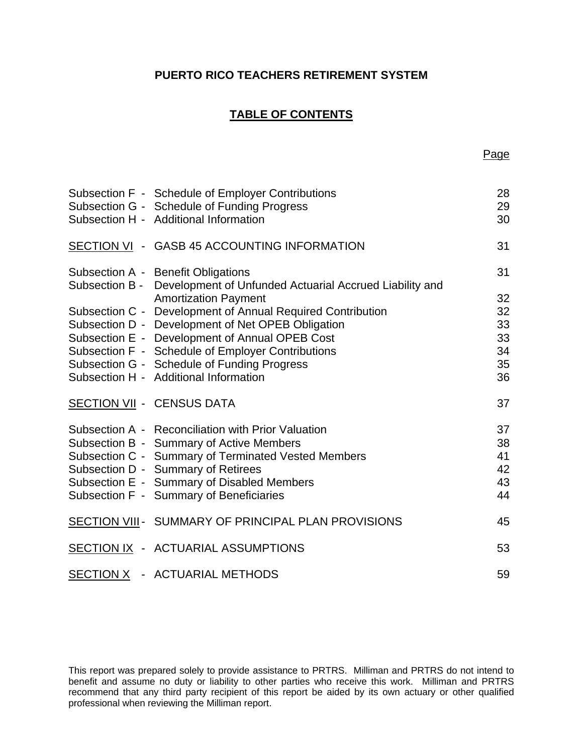# **TABLE OF CONTENTS**

| Subsection F - Schedule of Employer Contributions<br>Subsection G - Schedule of Funding Progress<br>Subsection H - Additional Information | 28<br>29<br>30 |
|-------------------------------------------------------------------------------------------------------------------------------------------|----------------|
| SECTION VI - GASB 45 ACCOUNTING INFORMATION                                                                                               | 31             |
| Subsection A - Benefit Obligations<br>Subsection B - Development of Unfunded Actuarial Accrued Liability and                              | 31             |
| <b>Amortization Payment</b>                                                                                                               | 32             |
| Subsection C - Development of Annual Required Contribution                                                                                | 32             |
| Subsection D - Development of Net OPEB Obligation                                                                                         | 33             |
| Subsection E - Development of Annual OPEB Cost                                                                                            | 33             |
| Subsection F - Schedule of Employer Contributions                                                                                         | 34             |
| Subsection G - Schedule of Funding Progress                                                                                               | 35             |
| Subsection H - Additional Information                                                                                                     | 36             |
| <b>SECTION VII - CENSUS DATA</b>                                                                                                          | 37             |
| Subsection A - Reconciliation with Prior Valuation                                                                                        | 37             |
| Subsection B - Summary of Active Members                                                                                                  | 38             |
| Subsection C - Summary of Terminated Vested Members                                                                                       | 41             |
| Subsection D - Summary of Retirees                                                                                                        | 42             |
| Subsection E - Summary of Disabled Members                                                                                                | 43             |
| Subsection F - Summary of Beneficiaries                                                                                                   | 44             |
| SECTION VIII - SUMMARY OF PRINCIPAL PLAN PROVISIONS                                                                                       | 45             |
| SECTION IX - ACTUARIAL ASSUMPTIONS                                                                                                        | 53             |
| SECTION X - ACTUARIAL METHODS                                                                                                             | 59             |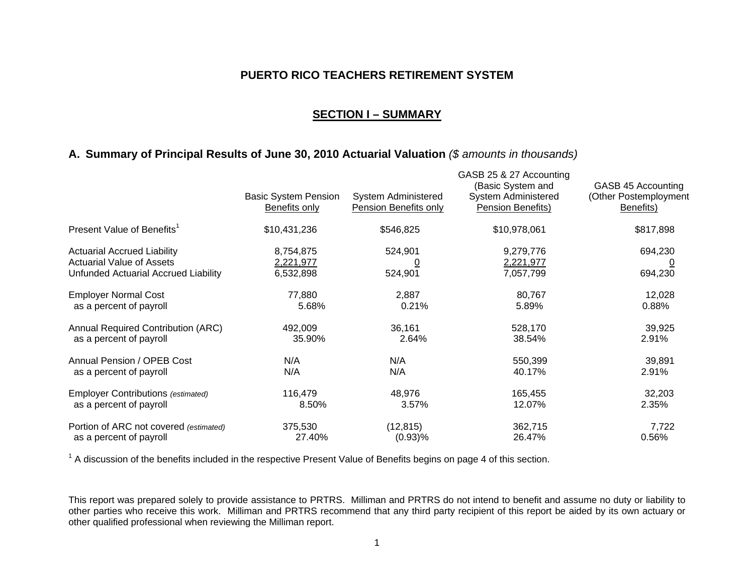### **SECTION I – SUMMARY**

### **A. Summary of Principal Results of June 30, 2010 Actuarial Valuation** *(\$ amounts in thousands)*

|                                                                                                                | <b>Basic System Pension</b><br><b>Benefits only</b> | <b>System Administered</b><br><b>Pension Benefits only</b> | GASB 25 & 27 Accounting<br>(Basic System and<br><b>System Administered</b><br>Pension Benefits) | GASB 45 Accounting<br>(Other Postemployment<br>Benefits) |
|----------------------------------------------------------------------------------------------------------------|-----------------------------------------------------|------------------------------------------------------------|-------------------------------------------------------------------------------------------------|----------------------------------------------------------|
| Present Value of Benefits <sup>1</sup>                                                                         | \$10,431,236                                        | \$546,825                                                  | \$10,978,061                                                                                    | \$817,898                                                |
| <b>Actuarial Accrued Liability</b><br><b>Actuarial Value of Assets</b><br>Unfunded Actuarial Accrued Liability | 8,754,875<br>2,221,977<br>6,532,898                 | 524,901<br>524,901                                         | 9,279,776<br>2,221,977<br>7,057,799                                                             | 694,230<br>$\overline{\Omega}$<br>694,230                |
| <b>Employer Normal Cost</b>                                                                                    | 77,880                                              | 2,887                                                      | 80,767                                                                                          | 12,028                                                   |
| as a percent of payroll                                                                                        | 5.68%                                               | 0.21%                                                      | 5.89%                                                                                           | 0.88%                                                    |
| <b>Annual Required Contribution (ARC)</b>                                                                      | 492,009                                             | 36,161                                                     | 528,170                                                                                         | 39,925                                                   |
| as a percent of payroll                                                                                        | 35.90%                                              | 2.64%                                                      | 38.54%                                                                                          | 2.91%                                                    |
| Annual Pension / OPEB Cost                                                                                     | N/A                                                 | N/A                                                        | 550,399                                                                                         | 39,891                                                   |
| as a percent of payroll                                                                                        | N/A                                                 | N/A                                                        | 40.17%                                                                                          | 2.91%                                                    |
| <b>Employer Contributions (estimated)</b>                                                                      | 116,479                                             | 48,976                                                     | 165,455                                                                                         | 32,203                                                   |
| as a percent of payroll                                                                                        | 8.50%                                               | 3.57%                                                      | 12.07%                                                                                          | 2.35%                                                    |
| Portion of ARC not covered (estimated)                                                                         | 375,530                                             | (12, 815)                                                  | 362,715                                                                                         | 7,722                                                    |
| as a percent of payroll                                                                                        | 27.40%                                              | (0.93)%                                                    | 26.47%                                                                                          | 0.56%                                                    |

 $1$  A discussion of the benefits included in the respective Present Value of Benefits begins on page 4 of this section.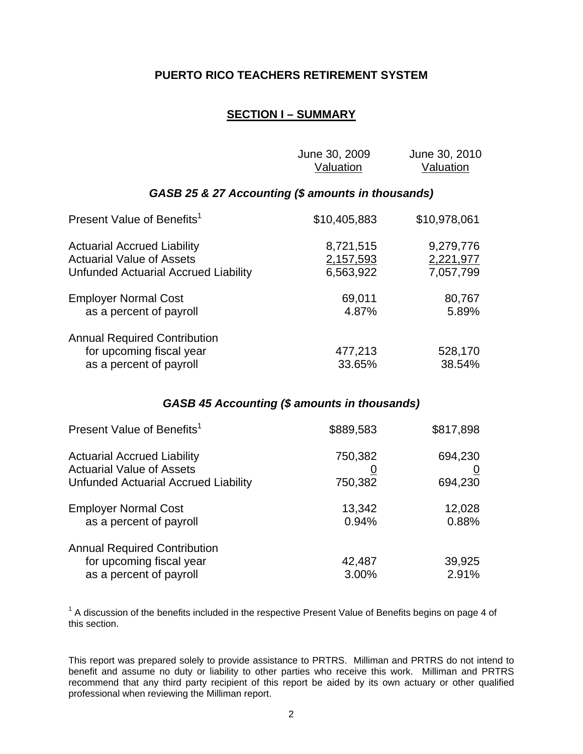# **SECTION I – SUMMARY**

|                                                                                                                       | June 30, 2009<br>Valuation          | June 30, 2010<br>Valuation          |
|-----------------------------------------------------------------------------------------------------------------------|-------------------------------------|-------------------------------------|
| GASB 25 & 27 Accounting (\$ amounts in thousands)                                                                     |                                     |                                     |
| Present Value of Benefits <sup>1</sup>                                                                                | \$10,405,883                        | \$10,978,061                        |
| <b>Actuarial Accrued Liability</b><br><b>Actuarial Value of Assets</b><br><b>Unfunded Actuarial Accrued Liability</b> | 8,721,515<br>2,157,593<br>6,563,922 | 9,279,776<br>2,221,977<br>7,057,799 |
| <b>Employer Normal Cost</b><br>as a percent of payroll                                                                | 69,011<br>4.87%                     | 80,767<br>5.89%                     |
| <b>Annual Required Contribution</b><br>for upcoming fiscal year<br>as a percent of payroll                            | 477,213<br>33.65%                   | 528,170<br>38.54%                   |

# *GASB 45 Accounting (\$ amounts in thousands)*

| Present Value of Benefits <sup>1</sup>                                 | \$889,583 | \$817,898 |
|------------------------------------------------------------------------|-----------|-----------|
| <b>Actuarial Accrued Liability</b><br><b>Actuarial Value of Assets</b> | 750,382   | 694,230   |
| Unfunded Actuarial Accrued Liability                                   | 750,382   | 694,230   |
| <b>Employer Normal Cost</b>                                            | 13,342    | 12,028    |
| as a percent of payroll                                                | 0.94%     | 0.88%     |
| <b>Annual Required Contribution</b>                                    |           |           |
| for upcoming fiscal year                                               | 42,487    | 39,925    |
| as a percent of payroll                                                | 3.00%     | 2.91%     |

 $1$  A discussion of the benefits included in the respective Present Value of Benefits begins on page 4 of this section.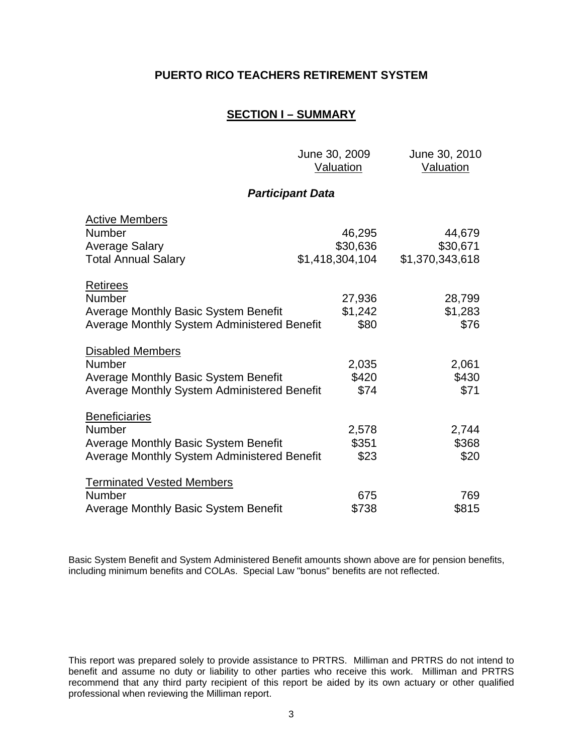### **SECTION I – SUMMARY**

June 30, 2009 June 30, 2010

|                                                                                                                                     | <b>Valuation</b>          | <u>Valuation</u>          |
|-------------------------------------------------------------------------------------------------------------------------------------|---------------------------|---------------------------|
|                                                                                                                                     | <b>Participant Data</b>   |                           |
| <b>Active Members</b><br><b>Number</b><br>Average Salary                                                                            | 46,295<br>\$30,636        | 44,679<br>\$30,671        |
| <b>Total Annual Salary</b>                                                                                                          | \$1,418,304,104           | \$1,370,343,618           |
| <b>Retirees</b><br><b>Number</b><br>Average Monthly Basic System Benefit<br><b>Average Monthly System Administered Benefit</b>      | 27,936<br>\$1,242<br>\$80 | 28,799<br>\$1,283<br>\$76 |
| <b>Disabled Members</b><br><b>Number</b><br>Average Monthly Basic System Benefit<br>Average Monthly System Administered Benefit     | 2,035<br>\$420<br>\$74    | 2,061<br>\$430<br>\$71    |
| <b>Beneficiaries</b><br><b>Number</b><br><b>Average Monthly Basic System Benefit</b><br>Average Monthly System Administered Benefit | 2,578<br>\$351<br>\$23    | 2,744<br>\$368<br>\$20    |
| <b>Terminated Vested Members</b><br><b>Number</b><br><b>Average Monthly Basic System Benefit</b>                                    | 675<br>\$738              | 769<br>\$815              |

Basic System Benefit and System Administered Benefit amounts shown above are for pension benefits, including minimum benefits and COLAs. Special Law "bonus" benefits are not reflected.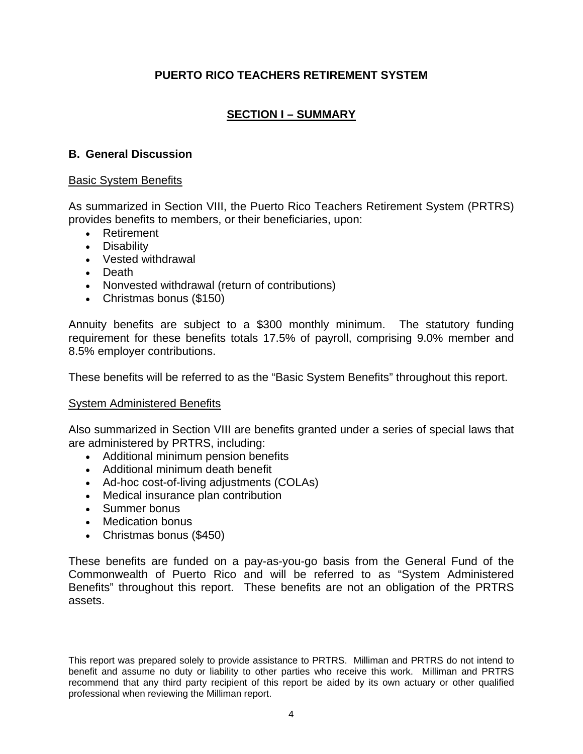# **SECTION I – SUMMARY**

# **B. General Discussion**

## Basic System Benefits

As summarized in Section VIII, the Puerto Rico Teachers Retirement System (PRTRS) provides benefits to members, or their beneficiaries, upon:

- Retirement
- Disability
- Vested withdrawal
- Death
- Nonvested withdrawal (return of contributions)
- Christmas bonus (\$150)

Annuity benefits are subject to a \$300 monthly minimum. The statutory funding requirement for these benefits totals 17.5% of payroll, comprising 9.0% member and 8.5% employer contributions.

These benefits will be referred to as the "Basic System Benefits" throughout this report.

#### System Administered Benefits

Also summarized in Section VIII are benefits granted under a series of special laws that are administered by PRTRS, including:

- Additional minimum pension benefits
- Additional minimum death benefit
- Ad-hoc cost-of-living adjustments (COLAs)
- Medical insurance plan contribution
- Summer bonus
- Medication bonus
- Christmas bonus (\$450)

These benefits are funded on a pay-as-you-go basis from the General Fund of the Commonwealth of Puerto Rico and will be referred to as "System Administered Benefits" throughout this report. These benefits are not an obligation of the PRTRS assets.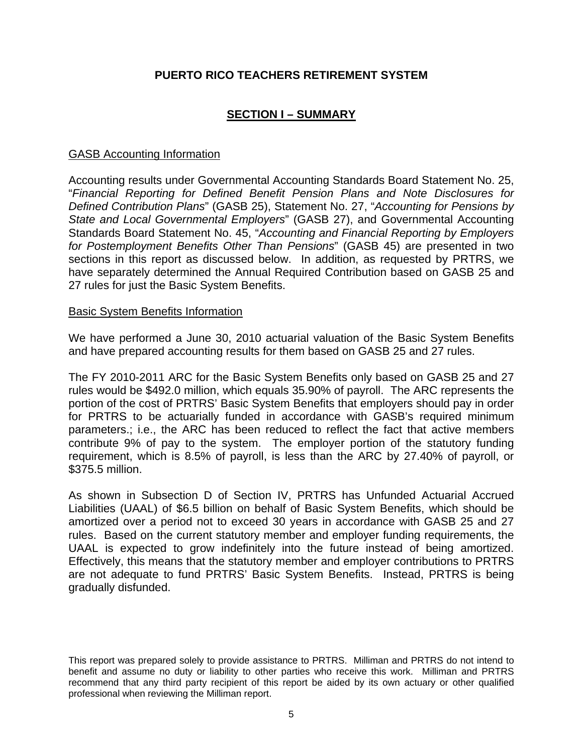# **SECTION I – SUMMARY**

### GASB Accounting Information

Accounting results under Governmental Accounting Standards Board Statement No. 25, "*Financial Reporting for Defined Benefit Pension Plans and Note Disclosures for Defined Contribution Plans*" (GASB 25), Statement No. 27, "*Accounting for Pensions by State and Local Governmental Employers*" (GASB 27), and Governmental Accounting Standards Board Statement No. 45, "*Accounting and Financial Reporting by Employers for Postemployment Benefits Other Than Pensions*" (GASB 45) are presented in two sections in this report as discussed below. In addition, as requested by PRTRS, we have separately determined the Annual Required Contribution based on GASB 25 and 27 rules for just the Basic System Benefits.

#### Basic System Benefits Information

We have performed a June 30, 2010 actuarial valuation of the Basic System Benefits and have prepared accounting results for them based on GASB 25 and 27 rules.

The FY 2010-2011 ARC for the Basic System Benefits only based on GASB 25 and 27 rules would be \$492.0 million, which equals 35.90% of payroll. The ARC represents the portion of the cost of PRTRS' Basic System Benefits that employers should pay in order for PRTRS to be actuarially funded in accordance with GASB's required minimum parameters.; i.e., the ARC has been reduced to reflect the fact that active members contribute 9% of pay to the system. The employer portion of the statutory funding requirement, which is 8.5% of payroll, is less than the ARC by 27.40% of payroll, or \$375.5 million.

As shown in Subsection D of Section IV, PRTRS has Unfunded Actuarial Accrued Liabilities (UAAL) of \$6.5 billion on behalf of Basic System Benefits, which should be amortized over a period not to exceed 30 years in accordance with GASB 25 and 27 rules. Based on the current statutory member and employer funding requirements, the UAAL is expected to grow indefinitely into the future instead of being amortized. Effectively, this means that the statutory member and employer contributions to PRTRS are not adequate to fund PRTRS' Basic System Benefits. Instead, PRTRS is being gradually disfunded.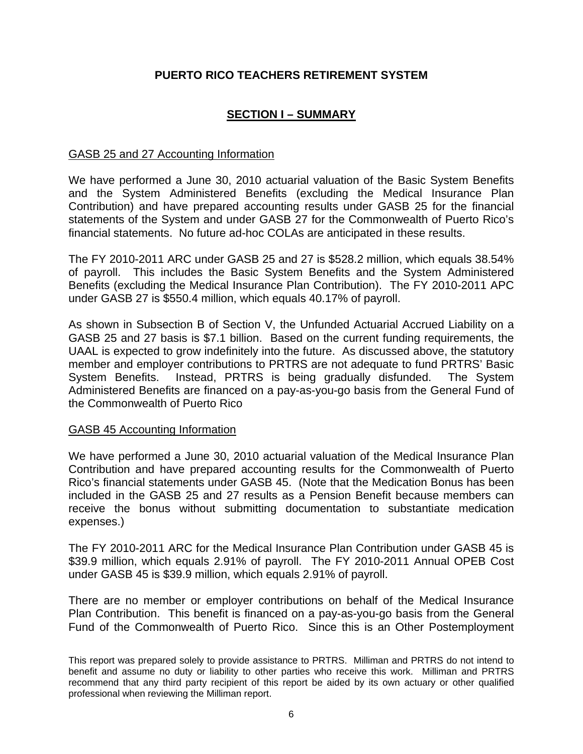# **SECTION I – SUMMARY**

### GASB 25 and 27 Accounting Information

We have performed a June 30, 2010 actuarial valuation of the Basic System Benefits and the System Administered Benefits (excluding the Medical Insurance Plan Contribution) and have prepared accounting results under GASB 25 for the financial statements of the System and under GASB 27 for the Commonwealth of Puerto Rico's financial statements. No future ad-hoc COLAs are anticipated in these results.

The FY 2010-2011 ARC under GASB 25 and 27 is \$528.2 million, which equals 38.54% of payroll. This includes the Basic System Benefits and the System Administered Benefits (excluding the Medical Insurance Plan Contribution). The FY 2010-2011 APC under GASB 27 is \$550.4 million, which equals 40.17% of payroll.

As shown in Subsection B of Section V, the Unfunded Actuarial Accrued Liability on a GASB 25 and 27 basis is \$7.1 billion. Based on the current funding requirements, the UAAL is expected to grow indefinitely into the future. As discussed above, the statutory member and employer contributions to PRTRS are not adequate to fund PRTRS' Basic System Benefits. Instead, PRTRS is being gradually disfunded. The System Administered Benefits are financed on a pay-as-you-go basis from the General Fund of the Commonwealth of Puerto Rico

#### GASB 45 Accounting Information

We have performed a June 30, 2010 actuarial valuation of the Medical Insurance Plan Contribution and have prepared accounting results for the Commonwealth of Puerto Rico's financial statements under GASB 45. (Note that the Medication Bonus has been included in the GASB 25 and 27 results as a Pension Benefit because members can receive the bonus without submitting documentation to substantiate medication expenses.)

The FY 2010-2011 ARC for the Medical Insurance Plan Contribution under GASB 45 is \$39.9 million, which equals 2.91% of payroll. The FY 2010-2011 Annual OPEB Cost under GASB 45 is \$39.9 million, which equals 2.91% of payroll.

There are no member or employer contributions on behalf of the Medical Insurance Plan Contribution. This benefit is financed on a pay-as-you-go basis from the General Fund of the Commonwealth of Puerto Rico. Since this is an Other Postemployment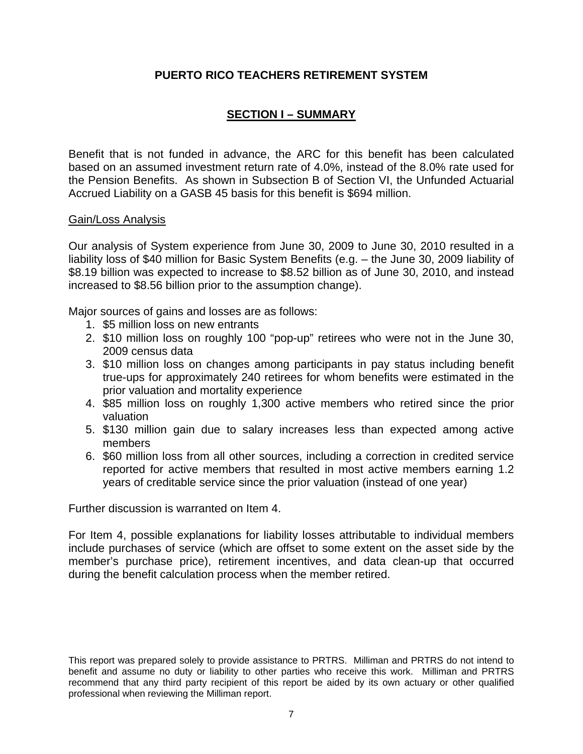# **SECTION I – SUMMARY**

Benefit that is not funded in advance, the ARC for this benefit has been calculated based on an assumed investment return rate of 4.0%, instead of the 8.0% rate used for the Pension Benefits. As shown in Subsection B of Section VI, the Unfunded Actuarial Accrued Liability on a GASB 45 basis for this benefit is \$694 million.

#### Gain/Loss Analysis

Our analysis of System experience from June 30, 2009 to June 30, 2010 resulted in a liability loss of \$40 million for Basic System Benefits (e.g. – the June 30, 2009 liability of \$8.19 billion was expected to increase to \$8.52 billion as of June 30, 2010, and instead increased to \$8.56 billion prior to the assumption change).

Major sources of gains and losses are as follows:

- 1. \$5 million loss on new entrants
- 2. \$10 million loss on roughly 100 "pop-up" retirees who were not in the June 30, 2009 census data
- 3. \$10 million loss on changes among participants in pay status including benefit true-ups for approximately 240 retirees for whom benefits were estimated in the prior valuation and mortality experience
- 4. \$85 million loss on roughly 1,300 active members who retired since the prior valuation
- 5. \$130 million gain due to salary increases less than expected among active members
- 6. \$60 million loss from all other sources, including a correction in credited service reported for active members that resulted in most active members earning 1.2 years of creditable service since the prior valuation (instead of one year)

Further discussion is warranted on Item 4.

For Item 4, possible explanations for liability losses attributable to individual members include purchases of service (which are offset to some extent on the asset side by the member's purchase price), retirement incentives, and data clean-up that occurred during the benefit calculation process when the member retired.

This report was prepared solely to provide assistance to PRTRS. Milliman and PRTRS do not intend to benefit and assume no duty or liability to other parties who receive this work. Milliman and PRTRS recommend that any third party recipient of this report be aided by its own actuary or other qualified professional when reviewing the Milliman report.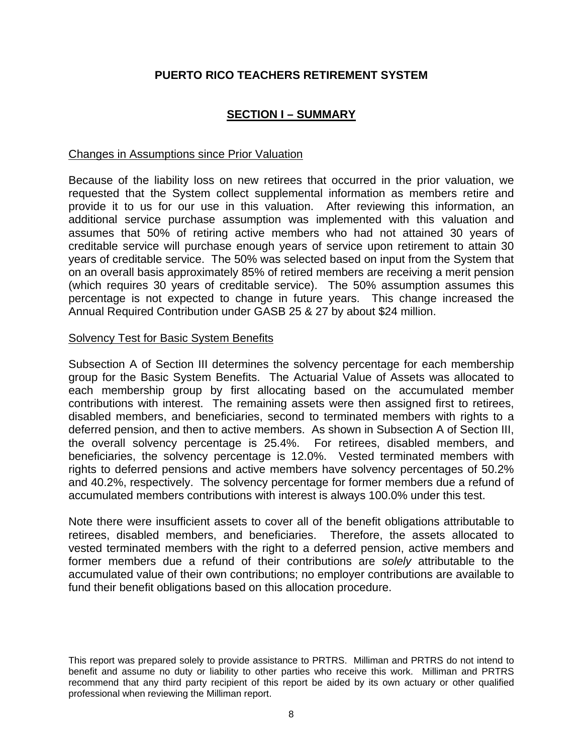# **SECTION I – SUMMARY**

### Changes in Assumptions since Prior Valuation

Because of the liability loss on new retirees that occurred in the prior valuation, we requested that the System collect supplemental information as members retire and provide it to us for our use in this valuation. After reviewing this information, an additional service purchase assumption was implemented with this valuation and assumes that 50% of retiring active members who had not attained 30 years of creditable service will purchase enough years of service upon retirement to attain 30 years of creditable service. The 50% was selected based on input from the System that on an overall basis approximately 85% of retired members are receiving a merit pension (which requires 30 years of creditable service). The 50% assumption assumes this percentage is not expected to change in future years. This change increased the Annual Required Contribution under GASB 25 & 27 by about \$24 million.

#### Solvency Test for Basic System Benefits

Subsection A of Section III determines the solvency percentage for each membership group for the Basic System Benefits. The Actuarial Value of Assets was allocated to each membership group by first allocating based on the accumulated member contributions with interest. The remaining assets were then assigned first to retirees, disabled members, and beneficiaries, second to terminated members with rights to a deferred pension, and then to active members. As shown in Subsection A of Section III, the overall solvency percentage is 25.4%. For retirees, disabled members, and beneficiaries, the solvency percentage is 12.0%. Vested terminated members with rights to deferred pensions and active members have solvency percentages of 50.2% and 40.2%, respectively. The solvency percentage for former members due a refund of accumulated members contributions with interest is always 100.0% under this test.

Note there were insufficient assets to cover all of the benefit obligations attributable to retirees, disabled members, and beneficiaries. Therefore, the assets allocated to vested terminated members with the right to a deferred pension, active members and former members due a refund of their contributions are *solely* attributable to the accumulated value of their own contributions; no employer contributions are available to fund their benefit obligations based on this allocation procedure.

This report was prepared solely to provide assistance to PRTRS. Milliman and PRTRS do not intend to benefit and assume no duty or liability to other parties who receive this work. Milliman and PRTRS recommend that any third party recipient of this report be aided by its own actuary or other qualified professional when reviewing the Milliman report.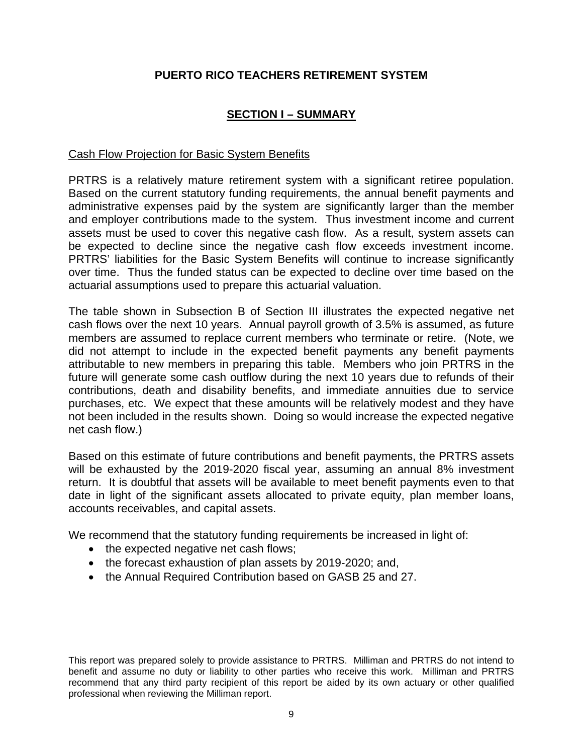# **SECTION I – SUMMARY**

# Cash Flow Projection for Basic System Benefits

PRTRS is a relatively mature retirement system with a significant retiree population. Based on the current statutory funding requirements, the annual benefit payments and administrative expenses paid by the system are significantly larger than the member and employer contributions made to the system. Thus investment income and current assets must be used to cover this negative cash flow. As a result, system assets can be expected to decline since the negative cash flow exceeds investment income. PRTRS' liabilities for the Basic System Benefits will continue to increase significantly over time. Thus the funded status can be expected to decline over time based on the actuarial assumptions used to prepare this actuarial valuation.

The table shown in Subsection B of Section III illustrates the expected negative net cash flows over the next 10 years. Annual payroll growth of 3.5% is assumed, as future members are assumed to replace current members who terminate or retire. (Note, we did not attempt to include in the expected benefit payments any benefit payments attributable to new members in preparing this table. Members who join PRTRS in the future will generate some cash outflow during the next 10 years due to refunds of their contributions, death and disability benefits, and immediate annuities due to service purchases, etc. We expect that these amounts will be relatively modest and they have not been included in the results shown. Doing so would increase the expected negative net cash flow.)

Based on this estimate of future contributions and benefit payments, the PRTRS assets will be exhausted by the 2019-2020 fiscal year, assuming an annual 8% investment return. It is doubtful that assets will be available to meet benefit payments even to that date in light of the significant assets allocated to private equity, plan member loans, accounts receivables, and capital assets.

We recommend that the statutory funding requirements be increased in light of:

- the expected negative net cash flows;
- the forecast exhaustion of plan assets by 2019-2020; and,
- the Annual Required Contribution based on GASB 25 and 27.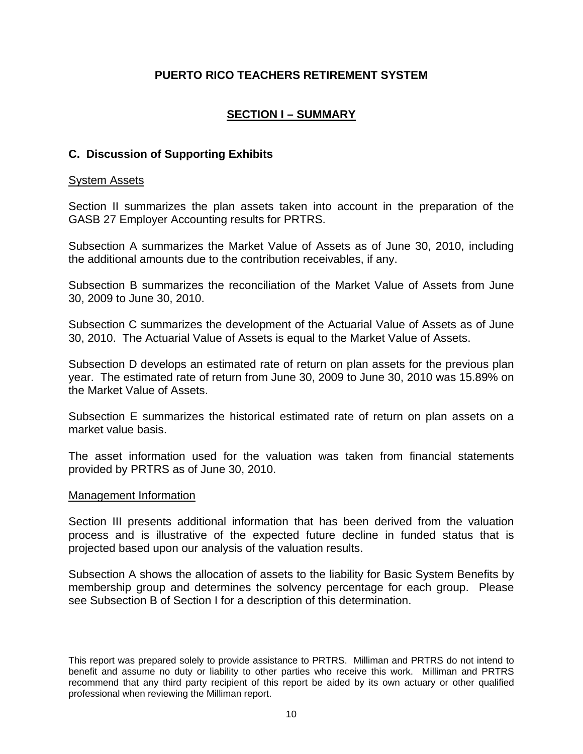# **SECTION I – SUMMARY**

# **C. Discussion of Supporting Exhibits**

#### System Assets

Section II summarizes the plan assets taken into account in the preparation of the GASB 27 Employer Accounting results for PRTRS.

Subsection A summarizes the Market Value of Assets as of June 30, 2010, including the additional amounts due to the contribution receivables, if any.

Subsection B summarizes the reconciliation of the Market Value of Assets from June 30, 2009 to June 30, 2010.

Subsection C summarizes the development of the Actuarial Value of Assets as of June 30, 2010. The Actuarial Value of Assets is equal to the Market Value of Assets.

Subsection D develops an estimated rate of return on plan assets for the previous plan year. The estimated rate of return from June 30, 2009 to June 30, 2010 was 15.89% on the Market Value of Assets.

Subsection E summarizes the historical estimated rate of return on plan assets on a market value basis.

The asset information used for the valuation was taken from financial statements provided by PRTRS as of June 30, 2010.

#### Management Information

Section III presents additional information that has been derived from the valuation process and is illustrative of the expected future decline in funded status that is projected based upon our analysis of the valuation results.

Subsection A shows the allocation of assets to the liability for Basic System Benefits by membership group and determines the solvency percentage for each group. Please see Subsection B of Section I for a description of this determination.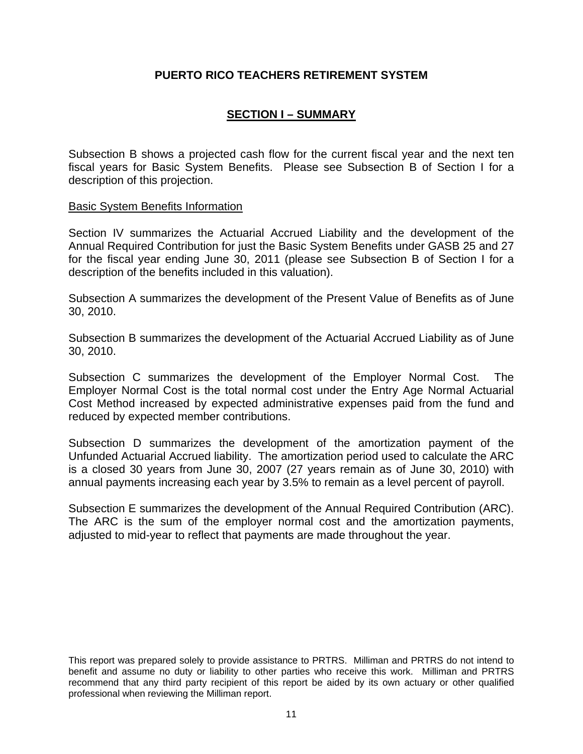# **SECTION I – SUMMARY**

Subsection B shows a projected cash flow for the current fiscal year and the next ten fiscal years for Basic System Benefits. Please see Subsection B of Section I for a description of this projection.

#### Basic System Benefits Information

Section IV summarizes the Actuarial Accrued Liability and the development of the Annual Required Contribution for just the Basic System Benefits under GASB 25 and 27 for the fiscal year ending June 30, 2011 (please see Subsection B of Section I for a description of the benefits included in this valuation).

Subsection A summarizes the development of the Present Value of Benefits as of June 30, 2010.

Subsection B summarizes the development of the Actuarial Accrued Liability as of June 30, 2010.

Subsection C summarizes the development of the Employer Normal Cost. The Employer Normal Cost is the total normal cost under the Entry Age Normal Actuarial Cost Method increased by expected administrative expenses paid from the fund and reduced by expected member contributions.

Subsection D summarizes the development of the amortization payment of the Unfunded Actuarial Accrued liability. The amortization period used to calculate the ARC is a closed 30 years from June 30, 2007 (27 years remain as of June 30, 2010) with annual payments increasing each year by 3.5% to remain as a level percent of payroll.

Subsection E summarizes the development of the Annual Required Contribution (ARC). The ARC is the sum of the employer normal cost and the amortization payments, adjusted to mid-year to reflect that payments are made throughout the year.

This report was prepared solely to provide assistance to PRTRS. Milliman and PRTRS do not intend to benefit and assume no duty or liability to other parties who receive this work. Milliman and PRTRS recommend that any third party recipient of this report be aided by its own actuary or other qualified professional when reviewing the Milliman report.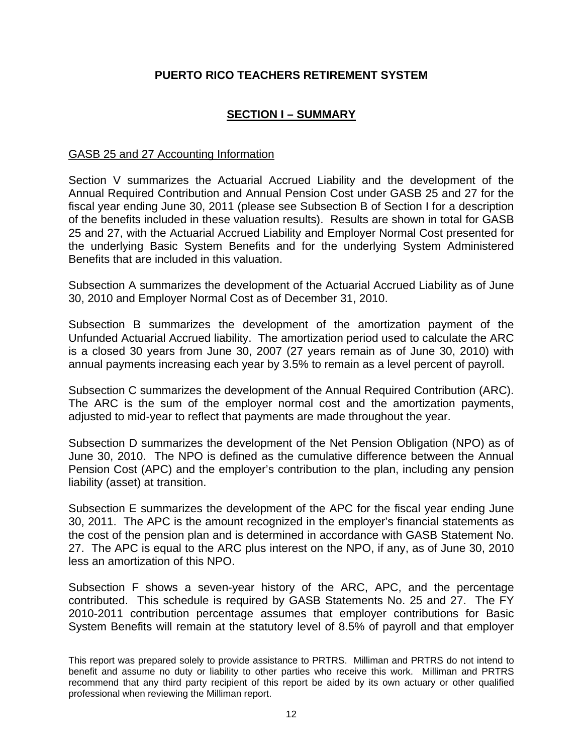# **SECTION I – SUMMARY**

### GASB 25 and 27 Accounting Information

Section V summarizes the Actuarial Accrued Liability and the development of the Annual Required Contribution and Annual Pension Cost under GASB 25 and 27 for the fiscal year ending June 30, 2011 (please see Subsection B of Section I for a description of the benefits included in these valuation results). Results are shown in total for GASB 25 and 27, with the Actuarial Accrued Liability and Employer Normal Cost presented for the underlying Basic System Benefits and for the underlying System Administered Benefits that are included in this valuation.

Subsection A summarizes the development of the Actuarial Accrued Liability as of June 30, 2010 and Employer Normal Cost as of December 31, 2010.

Subsection B summarizes the development of the amortization payment of the Unfunded Actuarial Accrued liability. The amortization period used to calculate the ARC is a closed 30 years from June 30, 2007 (27 years remain as of June 30, 2010) with annual payments increasing each year by 3.5% to remain as a level percent of payroll.

Subsection C summarizes the development of the Annual Required Contribution (ARC). The ARC is the sum of the employer normal cost and the amortization payments, adjusted to mid-year to reflect that payments are made throughout the year.

Subsection D summarizes the development of the Net Pension Obligation (NPO) as of June 30, 2010. The NPO is defined as the cumulative difference between the Annual Pension Cost (APC) and the employer's contribution to the plan, including any pension liability (asset) at transition.

Subsection E summarizes the development of the APC for the fiscal year ending June 30, 2011. The APC is the amount recognized in the employer's financial statements as the cost of the pension plan and is determined in accordance with GASB Statement No. 27. The APC is equal to the ARC plus interest on the NPO, if any, as of June 30, 2010 less an amortization of this NPO.

Subsection F shows a seven-year history of the ARC, APC, and the percentage contributed. This schedule is required by GASB Statements No. 25 and 27. The FY 2010-2011 contribution percentage assumes that employer contributions for Basic System Benefits will remain at the statutory level of 8.5% of payroll and that employer

This report was prepared solely to provide assistance to PRTRS. Milliman and PRTRS do not intend to benefit and assume no duty or liability to other parties who receive this work. Milliman and PRTRS recommend that any third party recipient of this report be aided by its own actuary or other qualified professional when reviewing the Milliman report.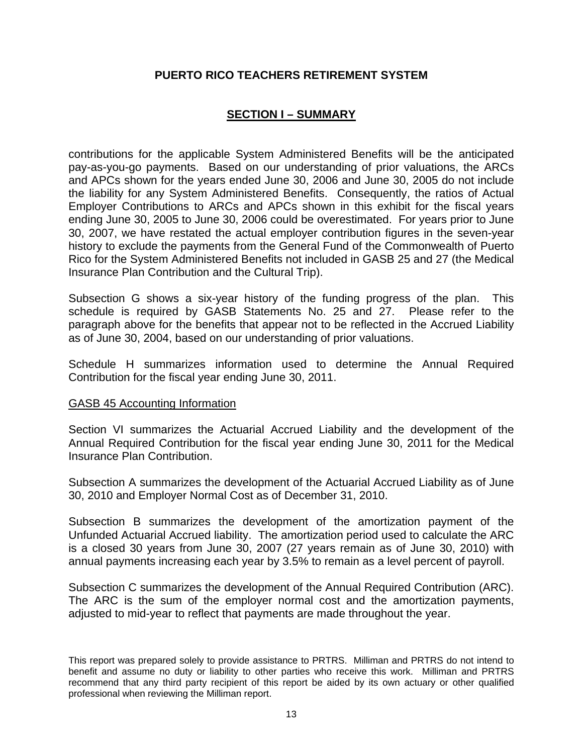# **SECTION I – SUMMARY**

contributions for the applicable System Administered Benefits will be the anticipated pay-as-you-go payments. Based on our understanding of prior valuations, the ARCs and APCs shown for the years ended June 30, 2006 and June 30, 2005 do not include the liability for any System Administered Benefits. Consequently, the ratios of Actual Employer Contributions to ARCs and APCs shown in this exhibit for the fiscal years ending June 30, 2005 to June 30, 2006 could be overestimated. For years prior to June 30, 2007, we have restated the actual employer contribution figures in the seven-year history to exclude the payments from the General Fund of the Commonwealth of Puerto Rico for the System Administered Benefits not included in GASB 25 and 27 (the Medical Insurance Plan Contribution and the Cultural Trip).

Subsection G shows a six-year history of the funding progress of the plan. This schedule is required by GASB Statements No. 25 and 27. Please refer to the paragraph above for the benefits that appear not to be reflected in the Accrued Liability as of June 30, 2004, based on our understanding of prior valuations.

Schedule H summarizes information used to determine the Annual Required Contribution for the fiscal year ending June 30, 2011.

#### GASB 45 Accounting Information

Section VI summarizes the Actuarial Accrued Liability and the development of the Annual Required Contribution for the fiscal year ending June 30, 2011 for the Medical Insurance Plan Contribution.

Subsection A summarizes the development of the Actuarial Accrued Liability as of June 30, 2010 and Employer Normal Cost as of December 31, 2010.

Subsection B summarizes the development of the amortization payment of the Unfunded Actuarial Accrued liability. The amortization period used to calculate the ARC is a closed 30 years from June 30, 2007 (27 years remain as of June 30, 2010) with annual payments increasing each year by 3.5% to remain as a level percent of payroll.

Subsection C summarizes the development of the Annual Required Contribution (ARC). The ARC is the sum of the employer normal cost and the amortization payments, adjusted to mid-year to reflect that payments are made throughout the year.

This report was prepared solely to provide assistance to PRTRS. Milliman and PRTRS do not intend to benefit and assume no duty or liability to other parties who receive this work. Milliman and PRTRS recommend that any third party recipient of this report be aided by its own actuary or other qualified professional when reviewing the Milliman report.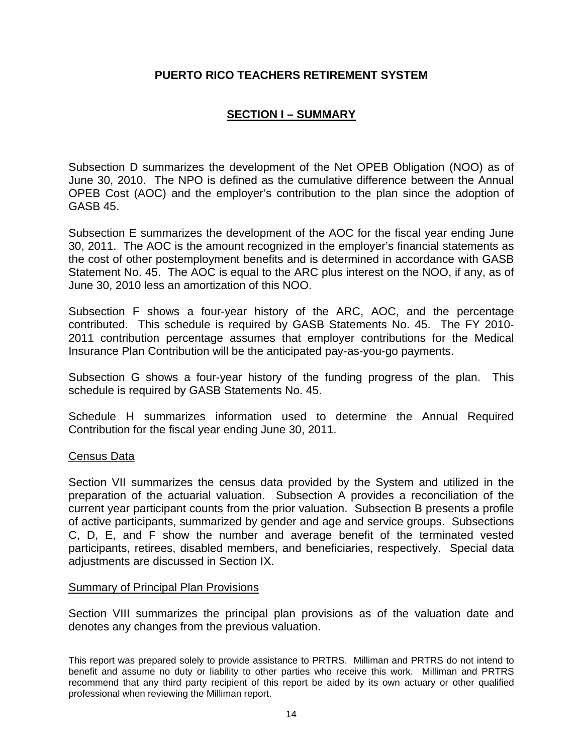# **SECTION I – SUMMARY**

Subsection D summarizes the development of the Net OPEB Obligation (NOO) as of June 30, 2010. The NPO is defined as the cumulative difference between the Annual OPEB Cost (AOC) and the employer's contribution to the plan since the adoption of GASB 45.

Subsection E summarizes the development of the AOC for the fiscal year ending June 30, 2011. The AOC is the amount recognized in the employer's financial statements as the cost of other postemployment benefits and is determined in accordance with GASB Statement No. 45. The AOC is equal to the ARC plus interest on the NOO, if any, as of June 30, 2010 less an amortization of this NOO.

Subsection F shows a four-year history of the ARC, AOC, and the percentage contributed. This schedule is required by GASB Statements No. 45. The FY 2010- 2011 contribution percentage assumes that employer contributions for the Medical Insurance Plan Contribution will be the anticipated pay-as-you-go payments.

Subsection G shows a four-year history of the funding progress of the plan. This schedule is required by GASB Statements No. 45.

Schedule H summarizes information used to determine the Annual Required Contribution for the fiscal year ending June 30, 2011.

#### Census Data

Section VII summarizes the census data provided by the System and utilized in the preparation of the actuarial valuation. Subsection A provides a reconciliation of the current year participant counts from the prior valuation. Subsection B presents a profile of active participants, summarized by gender and age and service groups. Subsections C, D, E, and F show the number and average benefit of the terminated vested participants, retirees, disabled members, and beneficiaries, respectively. Special data adjustments are discussed in Section IX.

#### Summary of Principal Plan Provisions

Section VIII summarizes the principal plan provisions as of the valuation date and denotes any changes from the previous valuation.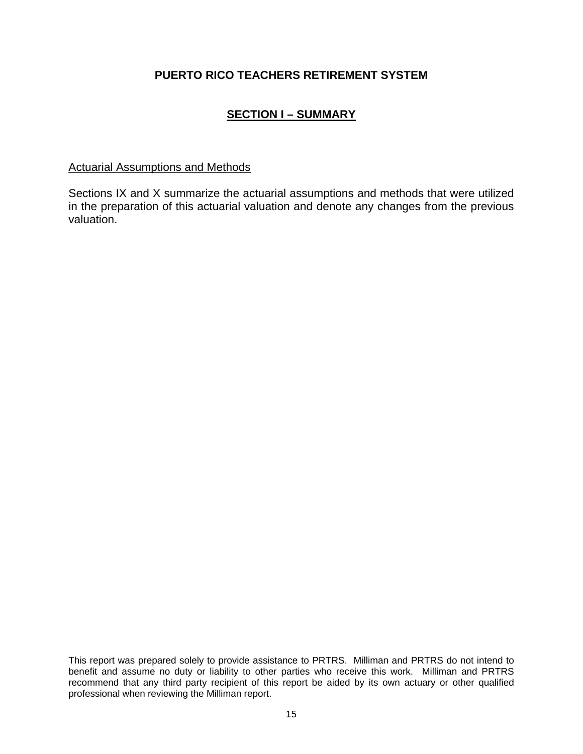# **SECTION I – SUMMARY**

## Actuarial Assumptions and Methods

Sections IX and X summarize the actuarial assumptions and methods that were utilized in the preparation of this actuarial valuation and denote any changes from the previous valuation.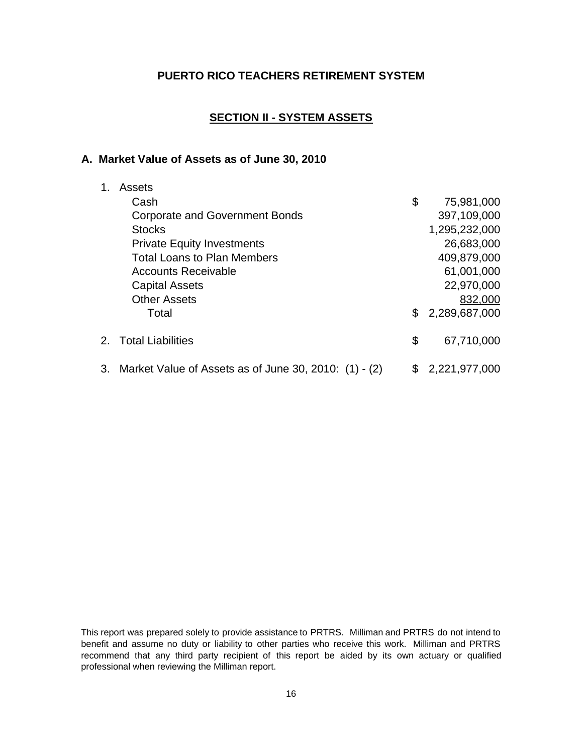# **SECTION II - SYSTEM ASSETS**

#### **A. Market Value of Assets as of June 30, 2010**

| 1. | Assets                                                   |     |                 |
|----|----------------------------------------------------------|-----|-----------------|
|    | Cash                                                     | \$  | 75,981,000      |
|    | <b>Corporate and Government Bonds</b>                    |     | 397,109,000     |
|    | <b>Stocks</b>                                            |     | 1,295,232,000   |
|    | <b>Private Equity Investments</b>                        |     | 26,683,000      |
|    | <b>Total Loans to Plan Members</b>                       |     | 409,879,000     |
|    | <b>Accounts Receivable</b>                               |     | 61,001,000      |
|    | <b>Capital Assets</b>                                    |     | 22,970,000      |
|    | <b>Other Assets</b>                                      |     | 832,000         |
|    | Total                                                    | \$. | 2,289,687,000   |
|    | 2. Total Liabilities                                     | \$  | 67,710,000      |
|    | 3. Market Value of Assets as of June 30, 2010: (1) - (2) |     | \$2,221,977,000 |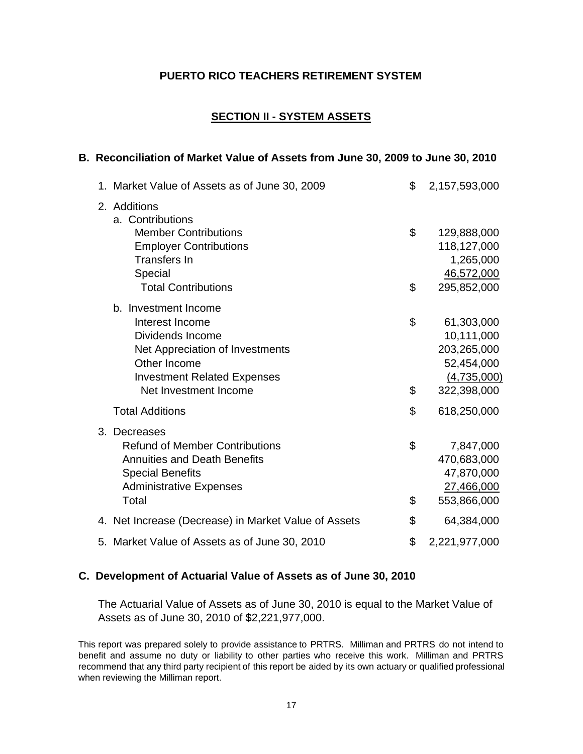# **SECTION II - SYSTEM ASSETS**

#### **B. Reconciliation of Market Value of Assets from June 30, 2009 to June 30, 2010**

| 1. Market Value of Assets as of June 30, 2009        | \$<br>2,157,593,000 |
|------------------------------------------------------|---------------------|
| 2. Additions<br>a. Contributions                     |                     |
| <b>Member Contributions</b>                          | \$<br>129,888,000   |
| <b>Employer Contributions</b>                        | 118,127,000         |
| <b>Transfers In</b>                                  | 1,265,000           |
| Special                                              | 46,572,000          |
| <b>Total Contributions</b>                           | \$<br>295,852,000   |
| b. Investment Income                                 |                     |
| Interest Income                                      | \$<br>61,303,000    |
| Dividends Income                                     | 10,111,000          |
| Net Appreciation of Investments                      | 203,265,000         |
| Other Income                                         | 52,454,000          |
| <b>Investment Related Expenses</b>                   | (4,735,000)         |
| Net Investment Income                                | \$<br>322,398,000   |
| <b>Total Additions</b>                               | \$<br>618,250,000   |
| 3. Decreases                                         |                     |
| <b>Refund of Member Contributions</b>                | \$<br>7,847,000     |
| <b>Annuities and Death Benefits</b>                  | 470,683,000         |
| <b>Special Benefits</b>                              | 47,870,000          |
| <b>Administrative Expenses</b>                       | 27,466,000          |
| Total                                                | \$<br>553,866,000   |
| 4. Net Increase (Decrease) in Market Value of Assets | \$<br>64,384,000    |
| 5. Market Value of Assets as of June 30, 2010        | \$<br>2,221,977,000 |

#### **C. Development of Actuarial Value of Assets as of June 30, 2010**

The Actuarial Value of Assets as of June 30, 2010 is equal to the Market Value of Assets as of June 30, 2010 of \$2,221,977,000.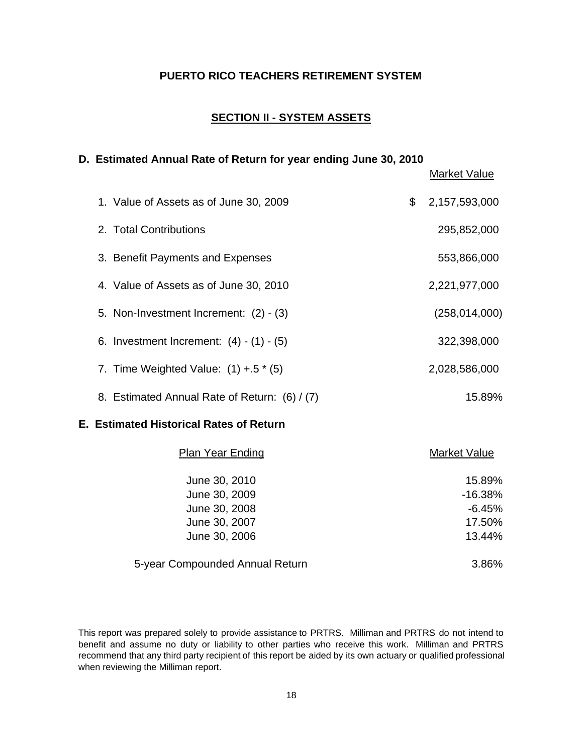### **SECTION II - SYSTEM ASSETS**

#### **D. Estimated Annual Rate of Return for year ending June 30, 2010**

Market Value 1. Value of Assets as of June 30, 2009  $$2,157,593,000$ 2. Total Contributions 295,852,000 3. Benefit Payments and Expenses 653,866,000 4. Value of Assets as of June 30, 2010 2,221,977,000 5. Non-Investment Increment: (2) - (3) (258,014,000) 6. Investment Increment: (4) - (1) - (5) 322,398,000 7. Time Weighted Value: (1) +.5  $*$  (5) 2,028,586,000 8. Estimated Annual Rate of Return: (6) / (7) 15.89%

#### **E. Estimated Historical Rates of Return**

| <b>Plan Year Ending</b>         | Market Value |
|---------------------------------|--------------|
| June 30, 2010                   | 15.89%       |
| June 30, 2009                   | $-16.38%$    |
| June 30, 2008                   | $-6.45%$     |
| June 30, 2007                   | 17.50%       |
| June 30, 2006                   | 13.44%       |
| 5-year Compounded Annual Return | 3.86%        |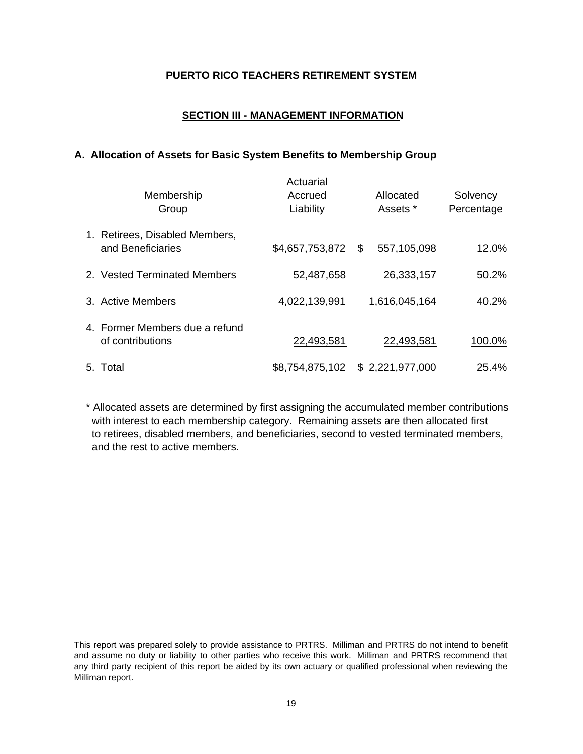### **SECTION III - MANAGEMENT INFORMATION**

#### **A. Allocation of Assets for Basic System Benefits to Membership Group**

| Membership<br>Group                                 | Actuarial<br>Accrued<br>Liability | Allocated<br>Assets * | Solvency<br>Percentage |
|-----------------------------------------------------|-----------------------------------|-----------------------|------------------------|
| 1. Retirees, Disabled Members,<br>and Beneficiaries | \$4,657,753,872 \$                | 557,105,098           | 12.0%                  |
| 2. Vested Terminated Members                        | 52,487,658                        | 26,333,157            | 50.2%                  |
| 3. Active Members                                   | 4,022,139,991                     | 1,616,045,164         | 40.2%                  |
| 4. Former Members due a refund<br>of contributions  | 22,493,581                        | 22,493,581            | 100.0%                 |
| 5. Total                                            | \$8,754,875,102                   | \$2,221,977,000       | 25.4%                  |

\* Allocated assets are determined by first assigning the accumulated member contributions with interest to each membership category. Remaining assets are then allocated first to retirees, disabled members, and beneficiaries, second to vested terminated members, and the rest to active members.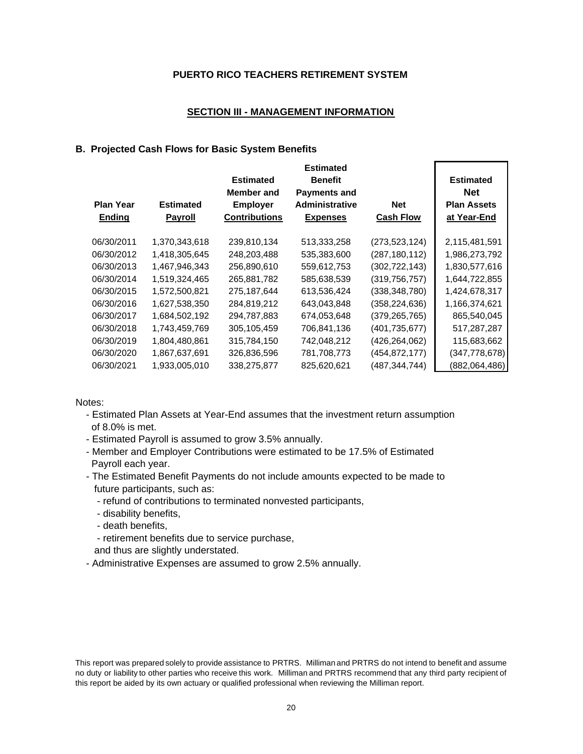#### **SECTION III - MANAGEMENT INFORMATION**

#### **B. Projected Cash Flows for Basic System Benefits**

| <b>Plan Year</b><br>Ending | <b>Estimated</b><br><b>Payroll</b> | <b>Estimated</b><br><b>Member</b> and<br><b>Employer</b><br><b>Contributions</b> | <b>Estimated</b><br><b>Benefit</b><br><b>Payments and</b><br><b>Administrative</b><br><b>Expenses</b> | Net<br><b>Cash Flow</b> | <b>Estimated</b><br><b>Net</b><br><b>Plan Assets</b><br>at Year-End |
|----------------------------|------------------------------------|----------------------------------------------------------------------------------|-------------------------------------------------------------------------------------------------------|-------------------------|---------------------------------------------------------------------|
| 06/30/2011                 | 1,370,343,618                      | 239,810,134                                                                      | 513,333,258                                                                                           | (273, 523, 124)         | 2,115,481,591                                                       |
| 06/30/2012                 | 1,418,305,645                      | 248,203,488                                                                      | 535,383,600                                                                                           | (287, 180, 112)         | 1,986,273,792                                                       |
| 06/30/2013                 | 1,467,946,343                      | 256,890,610                                                                      | 559,612,753                                                                                           | (302, 722, 143)         | 1,830,577,616                                                       |
| 06/30/2014                 | 1,519,324,465                      | 265,881,782                                                                      | 585,638,539                                                                                           | (319, 756, 757)         | 1,644,722,855                                                       |
| 06/30/2015                 | 1,572,500,821                      | 275,187,644                                                                      | 613,536,424                                                                                           | (338, 348, 780)         | 1,424,678,317                                                       |
| 06/30/2016                 | 1,627,538,350                      | 284,819,212                                                                      | 643,043,848                                                                                           | (358, 224, 636)         | 1,166,374,621                                                       |
| 06/30/2017                 | 1,684,502,192                      | 294,787,883                                                                      | 674,053,648                                                                                           | (379,265,765)           | 865,540,045                                                         |
| 06/30/2018                 | 1,743,459,769                      | 305,105,459                                                                      | 706,841,136                                                                                           | (401,735,677)           | 517,287,287                                                         |
| 06/30/2019                 | 1,804,480,861                      | 315,784,150                                                                      | 742,048,212                                                                                           | (426,264,062)           | 115,683,662                                                         |
| 06/30/2020                 | 1,867,637,691                      | 326,836,596                                                                      | 781,708,773                                                                                           | (454,872,177)           | (347, 778, 678)                                                     |
| 06/30/2021                 | 1,933,005,010                      | 338,275,877                                                                      | 825,620,621                                                                                           | (487,344,744)           | (882,064,486)                                                       |

Notes:

- Estimated Plan Assets at Year-End assumes that the investment return assumption of 8.0% is met.
- Estimated Payroll is assumed to grow 3.5% annually.
- Member and Employer Contributions were estimated to be 17.5% of Estimated Payroll each year.
- The Estimated Benefit Payments do not include amounts expected to be made to future participants, such as:
	- refund of contributions to terminated nonvested participants,
	- disability benefits,
	- death benefits,
	- retirement benefits due to service purchase,
	- and thus are slightly understated.
- Administrative Expenses are assumed to grow 2.5% annually.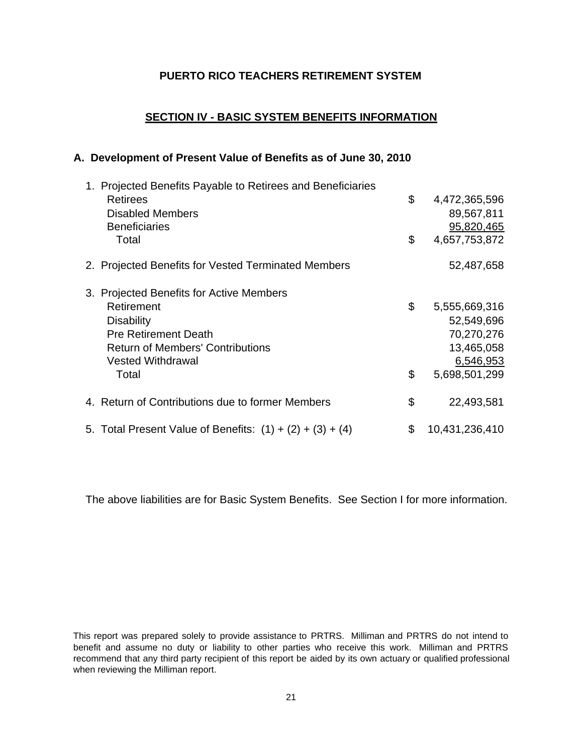### **SECTION IV - BASIC SYSTEM BENEFITS INFORMATION**

#### **A. Development of Present Value of Benefits as of June 30, 2010**

| Retirees                                |                                                                                                                                                                                                                                                                                   | 4,472,365,596  |
|-----------------------------------------|-----------------------------------------------------------------------------------------------------------------------------------------------------------------------------------------------------------------------------------------------------------------------------------|----------------|
| <b>Disabled Members</b>                 |                                                                                                                                                                                                                                                                                   | 89,567,811     |
| <b>Beneficiaries</b>                    |                                                                                                                                                                                                                                                                                   | 95,820,465     |
| Total                                   | \$                                                                                                                                                                                                                                                                                | 4,657,753,872  |
|                                         |                                                                                                                                                                                                                                                                                   | 52,487,658     |
|                                         |                                                                                                                                                                                                                                                                                   |                |
| Retirement                              | \$                                                                                                                                                                                                                                                                                | 5,555,669,316  |
| <b>Disability</b>                       |                                                                                                                                                                                                                                                                                   | 52,549,696     |
| <b>Pre Retirement Death</b>             |                                                                                                                                                                                                                                                                                   | 70,270,276     |
| <b>Return of Members' Contributions</b> |                                                                                                                                                                                                                                                                                   | 13,465,058     |
| <b>Vested Withdrawal</b>                |                                                                                                                                                                                                                                                                                   | 6,546,953      |
| Total                                   | \$                                                                                                                                                                                                                                                                                | 5,698,501,299  |
|                                         | \$                                                                                                                                                                                                                                                                                | 22,493,581     |
|                                         | \$                                                                                                                                                                                                                                                                                | 10,431,236,410 |
|                                         | 1. Projected Benefits Payable to Retirees and Beneficiaries<br>2. Projected Benefits for Vested Terminated Members<br>3. Projected Benefits for Active Members<br>4. Return of Contributions due to former Members<br>5. Total Present Value of Benefits: $(1) + (2) + (3) + (4)$ | \$             |

The above liabilities are for Basic System Benefits. See Section I for more information.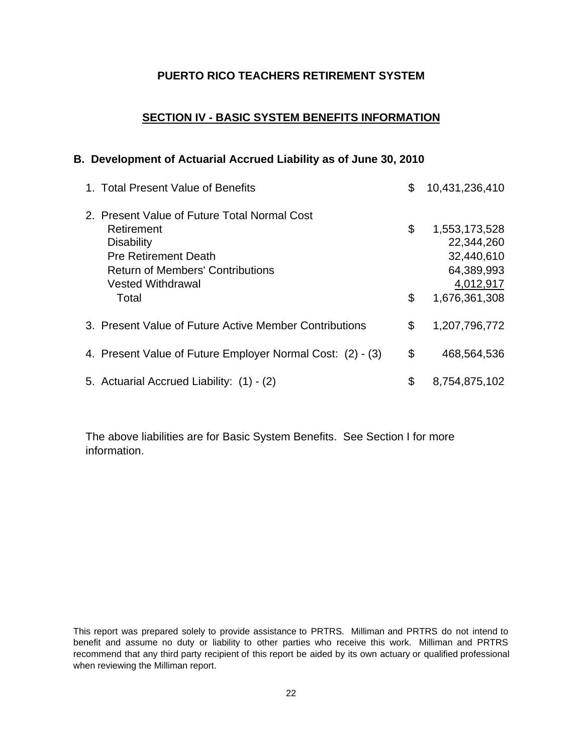## **SECTION IV - BASIC SYSTEM BENEFITS INFORMATION**

#### **B. Development of Actuarial Accrued Liability as of June 30, 2010**

| 1. Total Present Value of Benefits                                                                                                                                                             | \$       | 10,431,236,410                                                                        |
|------------------------------------------------------------------------------------------------------------------------------------------------------------------------------------------------|----------|---------------------------------------------------------------------------------------|
| 2. Present Value of Future Total Normal Cost<br>Retirement<br><b>Disability</b><br><b>Pre Retirement Death</b><br><b>Return of Members' Contributions</b><br><b>Vested Withdrawal</b><br>Total | \$<br>\$ | 1,553,173,528<br>22,344,260<br>32,440,610<br>64,389,993<br>4,012,917<br>1,676,361,308 |
| 3. Present Value of Future Active Member Contributions                                                                                                                                         | \$       | 1,207,796,772                                                                         |
| 4. Present Value of Future Employer Normal Cost: (2) - (3)                                                                                                                                     | \$       | 468,564,536                                                                           |
| 5. Actuarial Accrued Liability: (1) - (2)                                                                                                                                                      | \$       | 8,754,875,102                                                                         |

The above liabilities are for Basic System Benefits. See Section I for more information.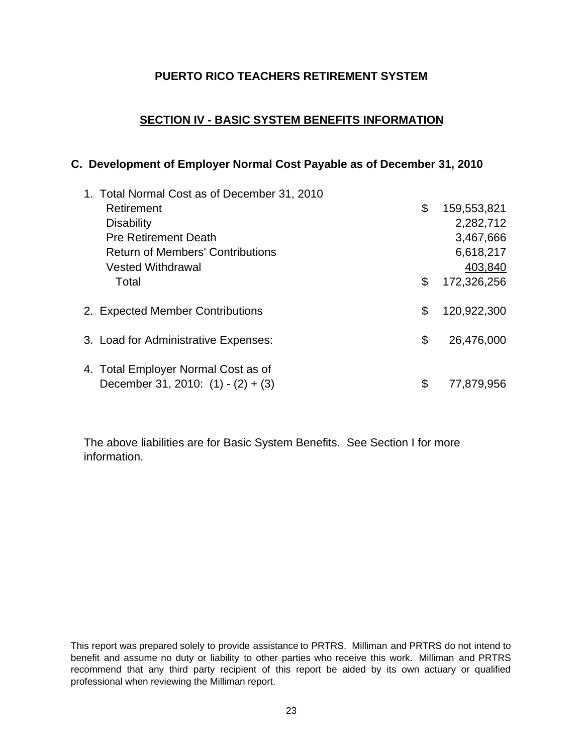# **SECTION IV - BASIC SYSTEM BENEFITS INFORMATION**

# **C. Development of Employer Normal Cost Payable as of December 31, 2010**

| 1. Total Normal Cost as of December 31, 2010 |                   |
|----------------------------------------------|-------------------|
| Retirement                                   | \$<br>159,553,821 |
| <b>Disability</b>                            | 2,282,712         |
| <b>Pre Retirement Death</b>                  | 3,467,666         |
| <b>Return of Members' Contributions</b>      | 6,618,217         |
| <b>Vested Withdrawal</b>                     | 403,840           |
| Total                                        | \$<br>172,326,256 |
| 2. Expected Member Contributions             | \$<br>120,922,300 |
| 3. Load for Administrative Expenses:         | \$<br>26,476,000  |
| 4. Total Employer Normal Cost as of          |                   |
| December 31, 2010: $(1) - (2) + (3)$         | \$<br>77,879,956  |

The above liabilities are for Basic System Benefits. See Section I for more information.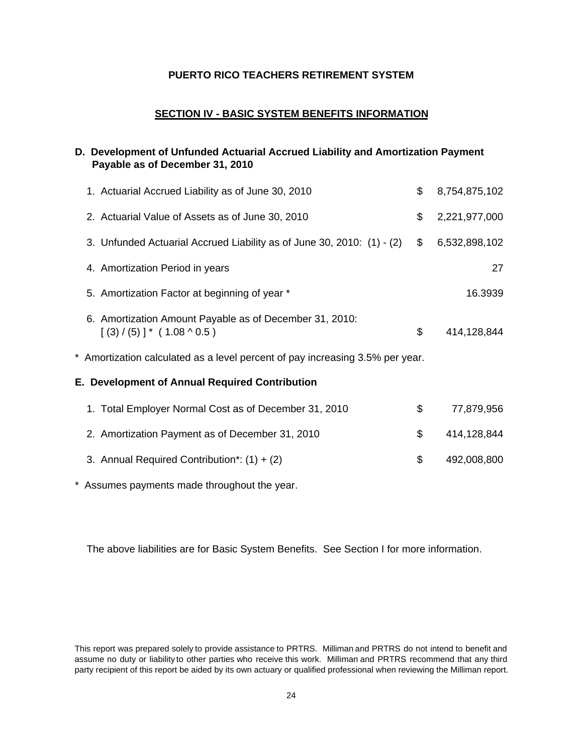#### **SECTION IV - BASIC SYSTEM BENEFITS INFORMATION**

# **D. Development of Unfunded Actuarial Accrued Liability and Amortization Payment Payable as of December 31, 2010**

| 1. Actuarial Accrued Liability as of June 30, 2010                                          | \$            | 8,754,875,102 |
|---------------------------------------------------------------------------------------------|---------------|---------------|
| 2. Actuarial Value of Assets as of June 30, 2010                                            | \$            | 2,221,977,000 |
| 3. Unfunded Actuarial Accrued Liability as of June 30, 2010: (1) - (2)                      | $\frac{1}{2}$ | 6,532,898,102 |
| 4. Amortization Period in years                                                             |               | 27            |
| 5. Amortization Factor at beginning of year *                                               |               | 16.3939       |
| 6. Amortization Amount Payable as of December 31, 2010:<br>$[(3) / (5)]^* (1.08 \land 0.5)$ | \$            | 414,128,844   |
| * Amortization calculated as a level percent of pay increasing 3.5% per year.               |               |               |
| E. Development of Annual Required Contribution                                              |               |               |
| 1. Total Employer Normal Cost as of December 31, 2010                                       | \$            | 77,879,956    |
| 2. Amortization Payment as of December 31, 2010                                             | \$            | 414,128,844   |
| 3. Annual Required Contribution*: $(1) + (2)$                                               | \$            | 492,008,800   |

\* Assumes payments made throughout the year.

The above liabilities are for Basic System Benefits. See Section I for more information.

This report was prepared solely to provide assistance to PRTRS. Milliman and PRTRS do not intend to benefit and assume no duty or liability to other parties who receive this work. Milliman and PRTRS recommend that any third party recipient of this report be aided by its own actuary or qualified professional when reviewing the Milliman report.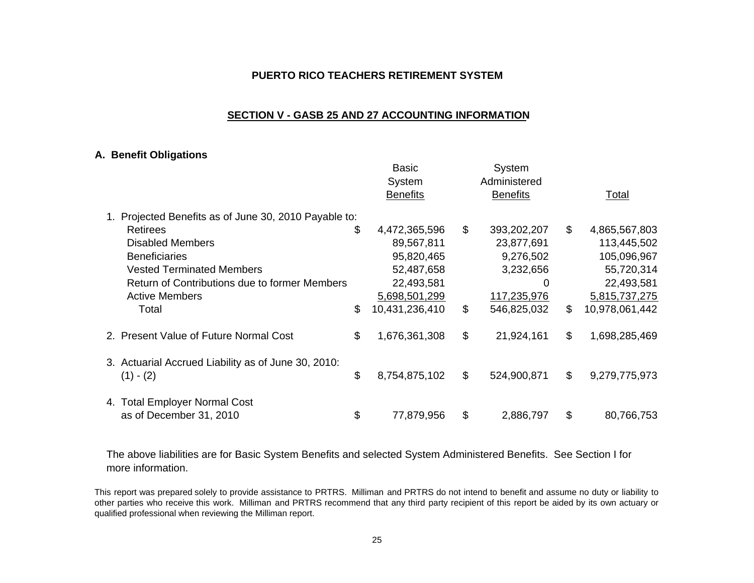#### **SECTION V - GASB 25 AND 27 ACCOUNTING INFORMATION**

#### **A. Benefit Obligations**

|                                                                    | Basic<br>System<br><b>Benefits</b> |              | System<br>Administered<br><b>Benefits</b> | Total                |
|--------------------------------------------------------------------|------------------------------------|--------------|-------------------------------------------|----------------------|
| Projected Benefits as of June 30, 2010 Payable to:                 |                                    |              |                                           |                      |
| <b>Retirees</b>                                                    | \$<br>4,472,365,596                | $\mathbb{S}$ | 393,202,207                               | \$<br>4,865,567,803  |
| Disabled Members                                                   | 89,567,811                         |              | 23,877,691                                | 113,445,502          |
| <b>Beneficiaries</b>                                               | 95,820,465                         |              | 9,276,502                                 | 105,096,967          |
| <b>Vested Terminated Members</b>                                   | 52,487,658                         |              | 3,232,656                                 | 55,720,314           |
| Return of Contributions due to former Members                      | 22,493,581                         |              | O                                         | 22,493,581           |
| <b>Active Members</b>                                              | 5,698,501,299                      |              | 117,235,976                               | 5,815,737,275        |
| Total                                                              | \$<br>10,431,236,410               | \$           | 546,825,032                               | \$<br>10,978,061,442 |
| 2. Present Value of Future Normal Cost                             | \$<br>1,676,361,308                | \$           | 21,924,161                                | \$<br>1,698,285,469  |
| 3. Actuarial Accrued Liability as of June 30, 2010:<br>$(1) - (2)$ | \$<br>8,754,875,102                | \$           | 524,900,871                               | \$<br>9,279,775,973  |
|                                                                    |                                    |              |                                           |                      |
| 4. Total Employer Normal Cost<br>as of December 31, 2010           | \$<br>77,879,956                   | \$           | 2,886,797                                 | \$<br>80,766,753     |

The above liabilities are for Basic System Benefits and selected System Administered Benefits. See Section I for more information.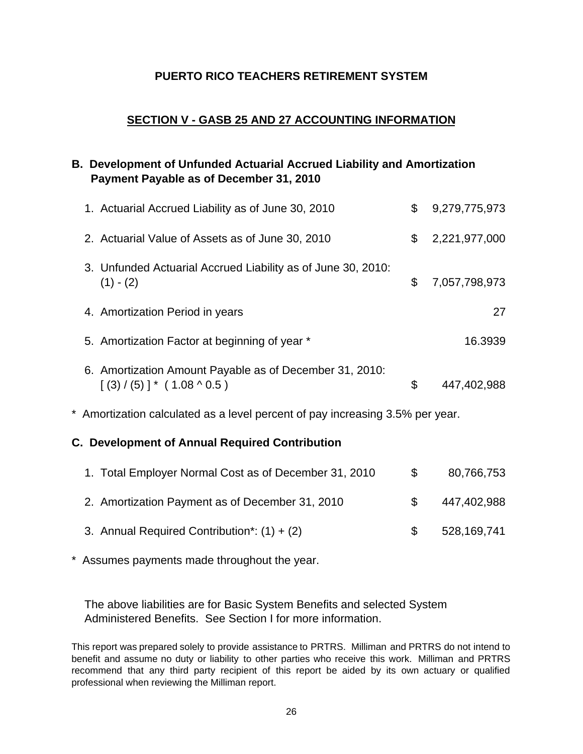# **SECTION V - GASB 25 AND 27 ACCOUNTING INFORMATION**

# **B. Development of Unfunded Actuarial Accrued Liability and Amortization Payment Payable as of December 31, 2010**

| 1. Actuarial Accrued Liability as of June 30, 2010                                            | \$ | 9,279,775,973 |  |  |  |
|-----------------------------------------------------------------------------------------------|----|---------------|--|--|--|
| 2. Actuarial Value of Assets as of June 30, 2010                                              | \$ | 2,221,977,000 |  |  |  |
| 3. Unfunded Actuarial Accrued Liability as of June 30, 2010:<br>$(1) - (2)$                   | \$ | 7,057,798,973 |  |  |  |
| 4. Amortization Period in years                                                               |    | 27            |  |  |  |
| 5. Amortization Factor at beginning of year *                                                 |    | 16.3939       |  |  |  |
| 6. Amortization Amount Payable as of December 31, 2010:<br>$[(3) / (5)]$ * $(1.08 \land 0.5)$ | \$ | 447,402,988   |  |  |  |
| * Amortization calculated as a level percent of pay increasing 3.5% per year.                 |    |               |  |  |  |
| <b>C. Development of Annual Required Contribution</b>                                         |    |               |  |  |  |

| 1. Total Employer Normal Cost as of December 31, 2010 | $\mathcal{F}$ | 80,766,753  |
|-------------------------------------------------------|---------------|-------------|
| 2. Amortization Payment as of December 31, 2010       |               | 447,402,988 |
| 3. Annual Required Contribution*: $(1) + (2)$         | $\mathcal{F}$ | 528,169,741 |

\* Assumes payments made throughout the year.

The above liabilities are for Basic System Benefits and selected System Administered Benefits. See Section I for more information.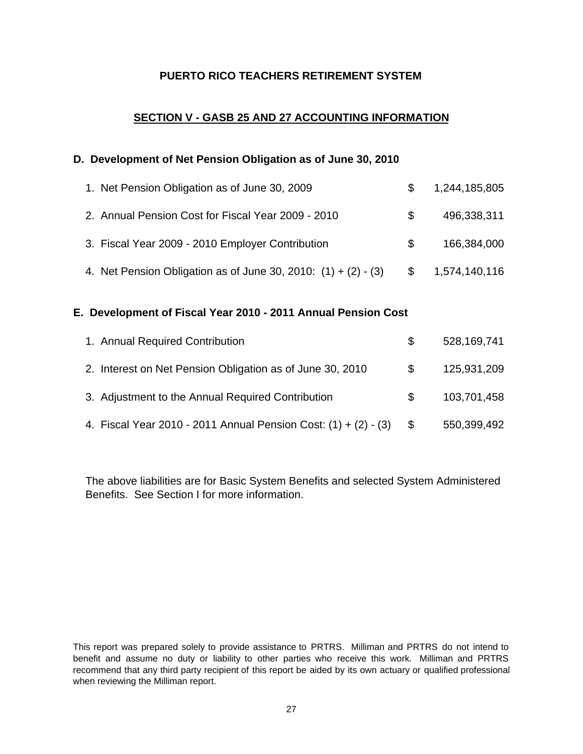# **SECTION V - GASB 25 AND 27 ACCOUNTING INFORMATION**

#### **D. Development of Net Pension Obligation as of June 30, 2010**

| 1. Net Pension Obligation as of June 30, 2009                    | \$.           | 1,244,185,805 |
|------------------------------------------------------------------|---------------|---------------|
| 2. Annual Pension Cost for Fiscal Year 2009 - 2010               | -SS           | 496,338,311   |
| 3. Fiscal Year 2009 - 2010 Employer Contribution                 | \$.           | 166,384,000   |
| 4. Net Pension Obligation as of June 30, 2010: $(1) + (2) - (3)$ | $\mathcal{S}$ | 1,574,140,116 |

### **E. Development of Fiscal Year 2010 - 2011 Annual Pension Cost**

| 1. Annual Required Contribution                                   | \$. | 528,169,741 |
|-------------------------------------------------------------------|-----|-------------|
| 2. Interest on Net Pension Obligation as of June 30, 2010         | \$. | 125,931,209 |
| 3. Adjustment to the Annual Required Contribution                 | SS. | 103,701,458 |
| 4. Fiscal Year 2010 - 2011 Annual Pension Cost: $(1) + (2) - (3)$ |     | 550,399,492 |

The above liabilities are for Basic System Benefits and selected System Administered Benefits. See Section I for more information.

This report was prepared solely to provide assistance to PRTRS. Milliman and PRTRS do not intend to benefit and assume no duty or liability to other parties who receive this work. Milliman and PRTRS recommend that any third party recipient of this report be aided by its own actuary or qualified professional when reviewing the Milliman report.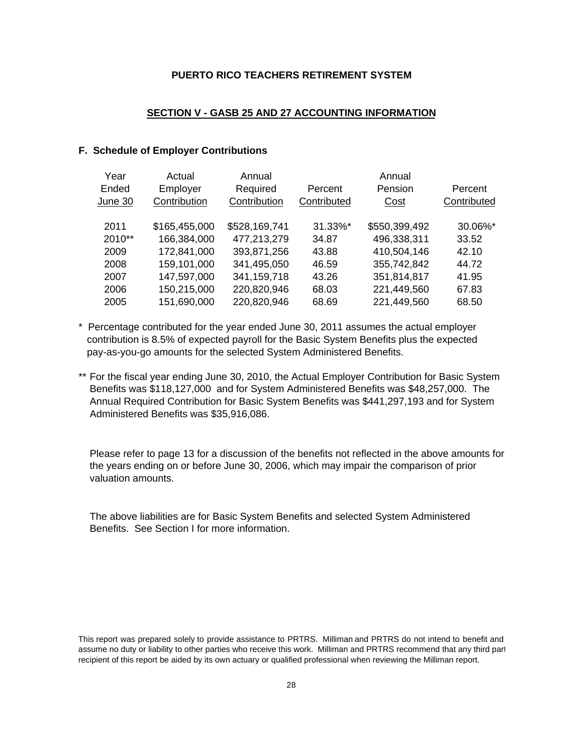#### **SECTION V - GASB 25 AND 27 ACCOUNTING INFORMATION**

#### **F. Schedule of Employer Contributions**

| Year    | Actual        | Annual        |             | Annual        |             |
|---------|---------------|---------------|-------------|---------------|-------------|
| Ended   | Employer      | Required      | Percent     | Pension       | Percent     |
| June 30 | Contribution  | Contribution  | Contributed | Cost          | Contributed |
|         |               |               |             |               |             |
| 2011    | \$165,455,000 | \$528,169,741 | 31.33%*     | \$550,399,492 | 30.06%*     |
| 2010**  | 166,384,000   | 477,213,279   | 34.87       | 496,338,311   | 33.52       |
| 2009    | 172,841,000   | 393,871,256   | 43.88       | 410,504,146   | 42.10       |
| 2008    | 159,101,000   | 341,495,050   | 46.59       | 355,742,842   | 44.72       |
| 2007    | 147,597,000   | 341,159,718   | 43.26       | 351,814,817   | 41.95       |
| 2006    | 150,215,000   | 220,820,946   | 68.03       | 221,449,560   | 67.83       |
| 2005    | 151,690,000   | 220,820,946   | 68.69       | 221,449,560   | 68.50       |

- \* Percentage contributed for the year ended June 30, 2011 assumes the actual employer contribution is 8.5% of expected payroll for the Basic System Benefits plus the expected pay-as-you-go amounts for the selected System Administered Benefits.
- \*\* For the fiscal year ending June 30, 2010, the Actual Employer Contribution for Basic System Benefits was \$118,127,000 and for System Administered Benefits was \$48,257,000. The Annual Required Contribution for Basic System Benefits was \$441,297,193 and for System Administered Benefits was \$35,916,086.

Please refer to page 13 for a discussion of the benefits not reflected in the above amounts for the years ending on or before June 30, 2006, which may impair the comparison of prior valuation amounts.

The above liabilities are for Basic System Benefits and selected System Administered Benefits. See Section I for more information.

This report was prepared solely to provide assistance to PRTRS. Milliman and PRTRS do not intend to benefit and assume no duty or liability to other parties who receive this work. Milliman and PRTRS recommend that any third part recipient of this report be aided by its own actuary or qualified professional when reviewing the Milliman report.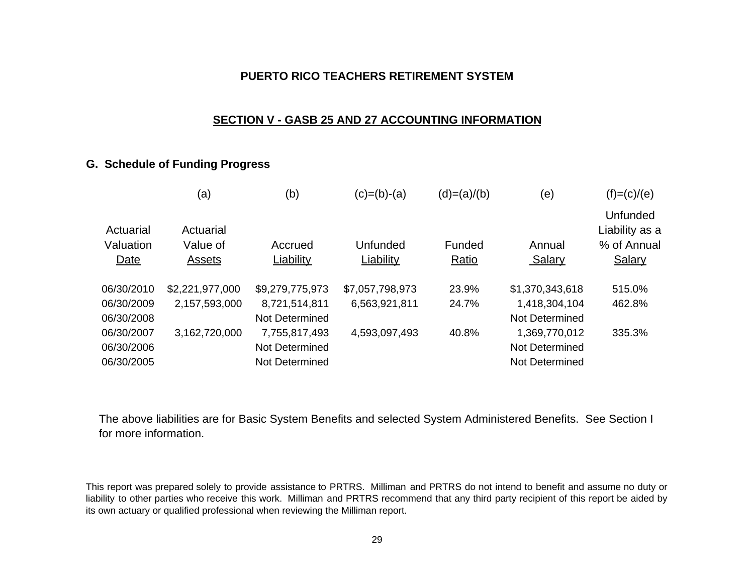### **SECTION V - GASB 25 AND 27 ACCOUNTING INFORMATION**

### **G. Schedule of Funding Progress**

|                        | (a)                   | (b)              | $(c)=(b)-(a)$   | $(d)=(a)/(b)$ | (e)             | $(f)=(c)/(e)$                                    |
|------------------------|-----------------------|------------------|-----------------|---------------|-----------------|--------------------------------------------------|
| Actuarial<br>Valuation | Actuarial<br>Value of | Accrued          | Unfunded        | Funded        | Annual          | <b>Unfunded</b><br>Liability as a<br>% of Annual |
| Date                   | Assets                | <b>Liability</b> | Liability       | Ratio         | <b>Salary</b>   | <b>Salary</b>                                    |
| 06/30/2010             | \$2,221,977,000       | \$9,279,775,973  | \$7,057,798,973 | 23.9%         | \$1,370,343,618 | 515.0%                                           |
| 06/30/2009             | 2,157,593,000         | 8,721,514,811    | 6,563,921,811   | 24.7%         | 1,418,304,104   | 462.8%                                           |
| 06/30/2008             |                       | Not Determined   |                 |               | Not Determined  |                                                  |
| 06/30/2007             | 3,162,720,000         | 7,755,817,493    | 4,593,097,493   | 40.8%         | 1,369,770,012   | 335.3%                                           |
| 06/30/2006             |                       | Not Determined   |                 |               | Not Determined  |                                                  |
| 06/30/2005             |                       | Not Determined   |                 |               | Not Determined  |                                                  |
|                        |                       |                  |                 |               |                 |                                                  |

The above liabilities are for Basic System Benefits and selected System Administered Benefits. See Section I for more information.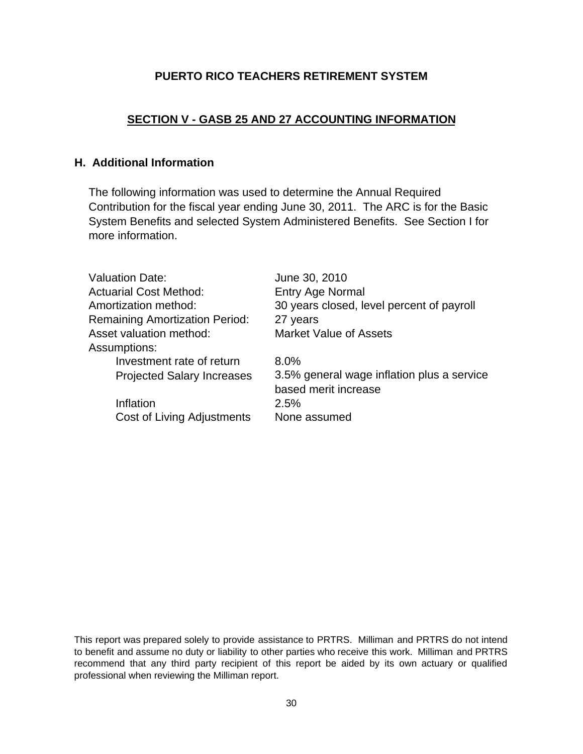# **SECTION V - GASB 25 AND 27 ACCOUNTING INFORMATION**

# **H. Additional Information**

The following information was used to determine the Annual Required Contribution for the fiscal year ending June 30, 2011. The ARC is for the Basic System Benefits and selected System Administered Benefits. See Section I for more information.

| <b>Valuation Date:</b>                | June 30, 2010                                                      |
|---------------------------------------|--------------------------------------------------------------------|
| <b>Actuarial Cost Method:</b>         | <b>Entry Age Normal</b>                                            |
| Amortization method:                  | 30 years closed, level percent of payroll                          |
| <b>Remaining Amortization Period:</b> | 27 years                                                           |
| Asset valuation method:               | <b>Market Value of Assets</b>                                      |
| Assumptions:                          |                                                                    |
| Investment rate of return             | 8.0%                                                               |
| <b>Projected Salary Increases</b>     | 3.5% general wage inflation plus a service<br>based merit increase |
| Inflation                             | 2.5%                                                               |
|                                       |                                                                    |
| Cost of Living Adjustments            | None assumed                                                       |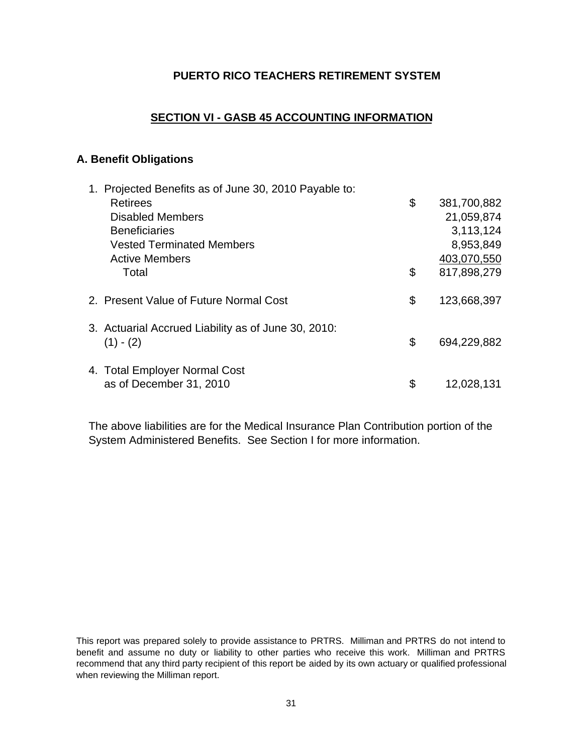# **SECTION VI - GASB 45 ACCOUNTING INFORMATION**

## **A. Benefit Obligations**

| 1. Projected Benefits as of June 30, 2010 Payable to: |                   |
|-------------------------------------------------------|-------------------|
| <b>Retirees</b>                                       | \$<br>381,700,882 |
| <b>Disabled Members</b>                               | 21,059,874        |
| <b>Beneficiaries</b>                                  | 3,113,124         |
| <b>Vested Terminated Members</b>                      | 8,953,849         |
| <b>Active Members</b>                                 | 403,070,550       |
| Total                                                 | \$<br>817,898,279 |
| 2. Present Value of Future Normal Cost                | \$<br>123,668,397 |
| 3. Actuarial Accrued Liability as of June 30, 2010:   |                   |
| $(1) - (2)$                                           | \$<br>694,229,882 |
| 4. Total Employer Normal Cost                         |                   |
| as of December 31, 2010                               | \$<br>12,028,131  |

The above liabilities are for the Medical Insurance Plan Contribution portion of the System Administered Benefits. See Section I for more information.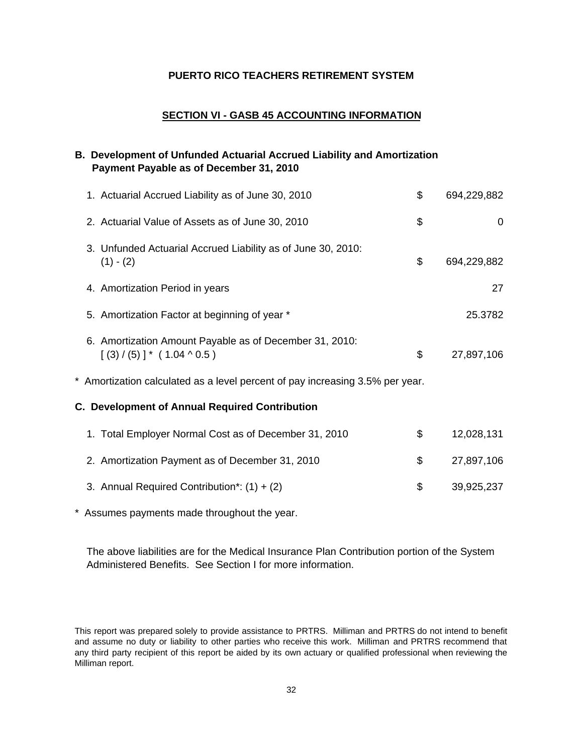#### **SECTION VI - GASB 45 ACCOUNTING INFORMATION**

# **B. Development of Unfunded Actuarial Accrued Liability and Amortization Payment Payable as of December 31, 2010**

| 1. Actuarial Accrued Liability as of June 30, 2010                                          | \$<br>694,229,882 |
|---------------------------------------------------------------------------------------------|-------------------|
| 2. Actuarial Value of Assets as of June 30, 2010                                            | \$<br>$\mathbf 0$ |
| 3. Unfunded Actuarial Accrued Liability as of June 30, 2010:<br>$(1) - (2)$                 | \$<br>694,229,882 |
| 4. Amortization Period in years                                                             | 27                |
| 5. Amortization Factor at beginning of year *                                               | 25.3782           |
| 6. Amortization Amount Payable as of December 31, 2010:<br>$[(3) / (5)]^* (1.04 \land 0.5)$ | \$<br>27,897,106  |
| * Amortization calculated as a level percent of pay increasing 3.5% per year.               |                   |
| C. Development of Annual Required Contribution                                              |                   |
| 1. Total Employer Normal Cost as of December 31, 2010                                       | \$<br>12,028,131  |
| 2. Amortization Payment as of December 31, 2010                                             | \$<br>27,897,106  |
| 3. Annual Required Contribution*: $(1) + (2)$                                               | \$<br>39,925,237  |

\* Assumes payments made throughout the year.

The above liabilities are for the Medical Insurance Plan Contribution portion of the System Administered Benefits. See Section I for more information.

This report was prepared solely to provide assistance to PRTRS. Milliman and PRTRS do not intend to benefit and assume no duty or liability to other parties who receive this work. Milliman and PRTRS recommend that any third party recipient of this report be aided by its own actuary or qualified professional when reviewing the Milliman report.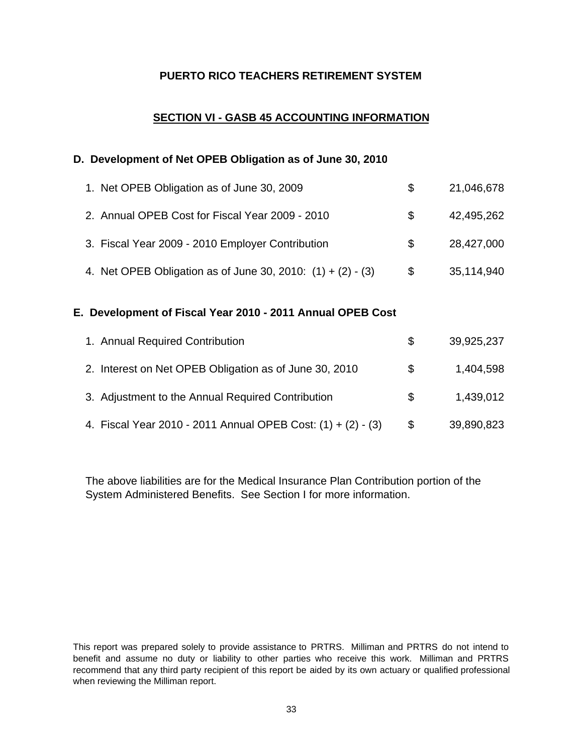# **SECTION VI - GASB 45 ACCOUNTING INFORMATION**

#### **D. Development of Net OPEB Obligation as of June 30, 2010**

| 1. Net OPEB Obligation as of June 30, 2009                    | S. | 21,046,678 |
|---------------------------------------------------------------|----|------------|
| 2. Annual OPEB Cost for Fiscal Year 2009 - 2010               | S. | 42,495,262 |
| 3. Fiscal Year 2009 - 2010 Employer Contribution              | S. | 28,427,000 |
| 4. Net OPEB Obligation as of June 30, 2010: $(1) + (2) - (3)$ | \$ | 35,114,940 |

#### **E. Development of Fiscal Year 2010 - 2011 Annual OPEB Cost**

| 1. Annual Required Contribution                              | S.  | 39,925,237 |
|--------------------------------------------------------------|-----|------------|
| 2. Interest on Net OPEB Obligation as of June 30, 2010       | S.  | 1,404,598  |
| 3. Adjustment to the Annual Required Contribution            | SS. | 1,439,012  |
| 4. Fiscal Year 2010 - 2011 Annual OPEB Cost: (1) + (2) - (3) | \$  | 39,890,823 |

The above liabilities are for the Medical Insurance Plan Contribution portion of the System Administered Benefits. See Section I for more information.

This report was prepared solely to provide assistance to PRTRS. Milliman and PRTRS do not intend to benefit and assume no duty or liability to other parties who receive this work. Milliman and PRTRS recommend that any third party recipient of this report be aided by its own actuary or qualified professional when reviewing the Milliman report.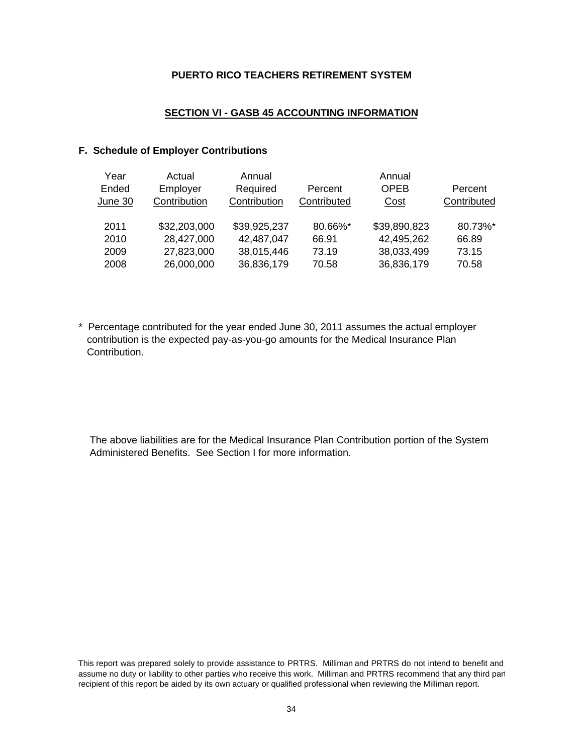#### **SECTION VI - GASB 45 ACCOUNTING INFORMATION**

#### **F. Schedule of Employer Contributions**

| Year    | Actual       | Annual       |             | Annual       |             |
|---------|--------------|--------------|-------------|--------------|-------------|
| Ended   | Employer     | Required     | Percent     | <b>OPEB</b>  | Percent     |
| June 30 | Contribution | Contribution | Contributed | Cost         | Contributed |
| 2011    | \$32,203,000 | \$39,925,237 | 80.66%*     | \$39,890,823 | 80.73%*     |
| 2010    | 28,427,000   | 42,487,047   | 66.91       | 42,495,262   | 66.89       |
| 2009    | 27,823,000   | 38,015,446   | 73.19       | 38,033,499   | 73.15       |
| 2008    | 26,000,000   | 36,836,179   | 70.58       | 36,836,179   | 70.58       |

\* Percentage contributed for the year ended June 30, 2011 assumes the actual employer contribution is the expected pay-as-you-go amounts for the Medical Insurance Plan Contribution.

The above liabilities are for the Medical Insurance Plan Contribution portion of the System Administered Benefits. See Section I for more information.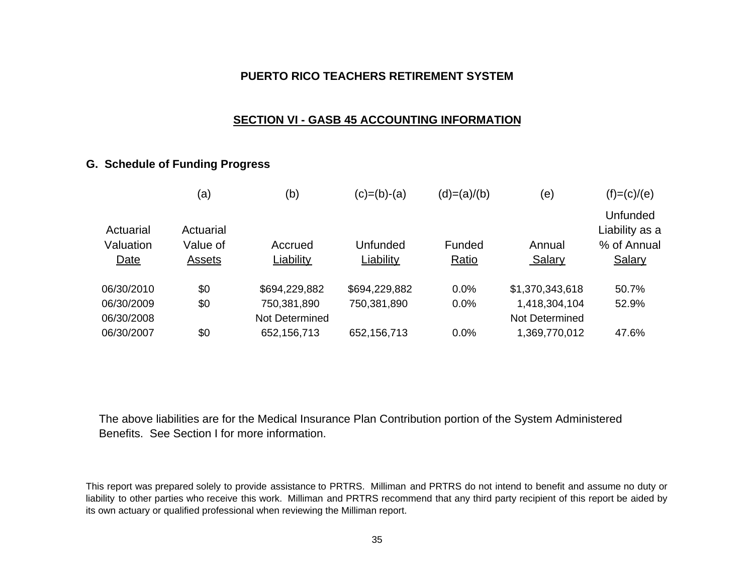## **SECTION VI - GASB 45 ACCOUNTING INFORMATION**

# **G. Schedule of Funding Progress**

|                        | (a)                   | (b)            | $(c)=(b)-(a)$ | $(d)=(a)/(b)$ | (e)             | $(f)=(c)/(e)$                             |
|------------------------|-----------------------|----------------|---------------|---------------|-----------------|-------------------------------------------|
| Actuarial<br>Valuation | Actuarial<br>Value of | Accrued        | Unfunded      | Funded        | Annual          | Unfunded<br>Liability as a<br>% of Annual |
| Date                   | Assets                | Liability      | Liability     | Ratio         | Salary          | Salary                                    |
| 06/30/2010             | \$0                   | \$694,229,882  | \$694,229,882 | 0.0%          | \$1,370,343,618 | 50.7%                                     |
| 06/30/2009             | \$0                   | 750,381,890    | 750,381,890   | 0.0%          | 1,418,304,104   | 52.9%                                     |
| 06/30/2008             |                       | Not Determined |               |               | Not Determined  |                                           |
| 06/30/2007             | \$0                   | 652,156,713    | 652, 156, 713 | 0.0%          | 1,369,770,012   | 47.6%                                     |

The above liabilities are for the Medical Insurance Plan Contribution portion of the System Administered Benefits. See Section I for more information.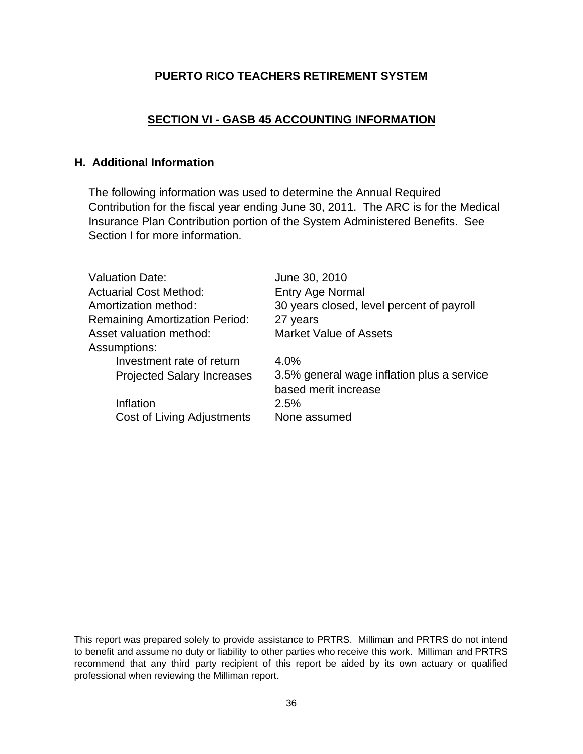# **SECTION VI - GASB 45 ACCOUNTING INFORMATION**

# **H. Additional Information**

The following information was used to determine the Annual Required Contribution for the fiscal year ending June 30, 2011. The ARC is for the Medical Insurance Plan Contribution portion of the System Administered Benefits. See Section I for more information.

| <b>Valuation Date:</b>                | June 30, 2010                                                      |
|---------------------------------------|--------------------------------------------------------------------|
| <b>Actuarial Cost Method:</b>         | <b>Entry Age Normal</b>                                            |
| Amortization method:                  | 30 years closed, level percent of payroll                          |
| <b>Remaining Amortization Period:</b> | 27 years                                                           |
| Asset valuation method:               | <b>Market Value of Assets</b>                                      |
| Assumptions:                          |                                                                    |
| Investment rate of return             | 4.0%                                                               |
| <b>Projected Salary Increases</b>     | 3.5% general wage inflation plus a service<br>based merit increase |
| Inflation                             | 2.5%                                                               |
| Cost of Living Adjustments            | None assumed                                                       |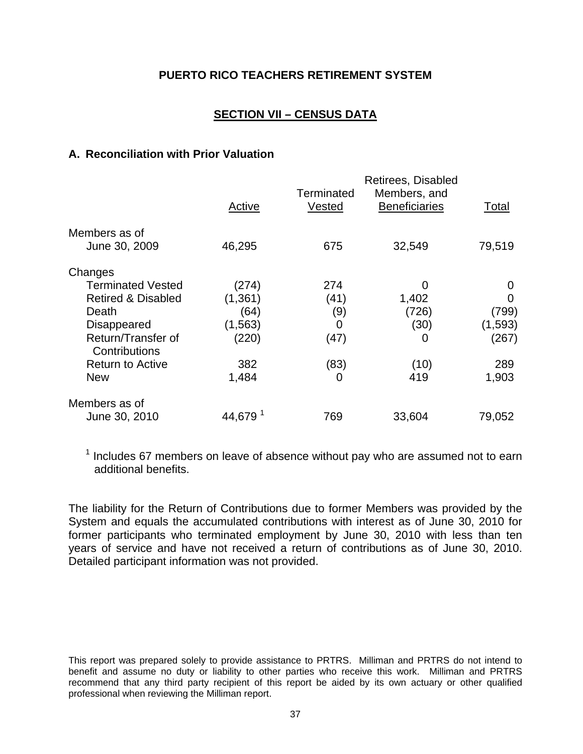# **SECTION VII – CENSUS DATA**

#### **A. Reconciliation with Prior Valuation**

|                                     |                     |            | Retirees, Disabled   |         |
|-------------------------------------|---------------------|------------|----------------------|---------|
|                                     |                     | Terminated | Members, and         |         |
|                                     | Active              | Vested     | <b>Beneficiaries</b> | Total   |
| Members as of                       |                     |            |                      |         |
| June 30, 2009                       | 46,295              | 675        | 32,549               | 79,519  |
| Changes                             |                     |            |                      |         |
| <b>Terminated Vested</b>            | (274)               | 274        | 0                    | O       |
| <b>Retired &amp; Disabled</b>       | (1, 361)            | (41)       | 1,402                | O       |
| Death                               | (64)                | (9)        | (726)                | (799)   |
| <b>Disappeared</b>                  | (1, 563)            | 0          | (30)                 | (1,593) |
| Return/Transfer of<br>Contributions | (220)               | (47)       | $\Omega$             | (267)   |
| <b>Return to Active</b>             | 382                 | (83)       | (10)                 | 289     |
| <b>New</b>                          | 1,484               | 0          | 419                  | 1,903   |
| Members as of                       |                     |            |                      |         |
| June 30, 2010                       | 44,679 <sup>1</sup> | 769        | 33,604               | 79,052  |

 $1$  Includes 67 members on leave of absence without pay who are assumed not to earn additional benefits.

The liability for the Return of Contributions due to former Members was provided by the System and equals the accumulated contributions with interest as of June 30, 2010 for former participants who terminated employment by June 30, 2010 with less than ten years of service and have not received a return of contributions as of June 30, 2010. Detailed participant information was not provided.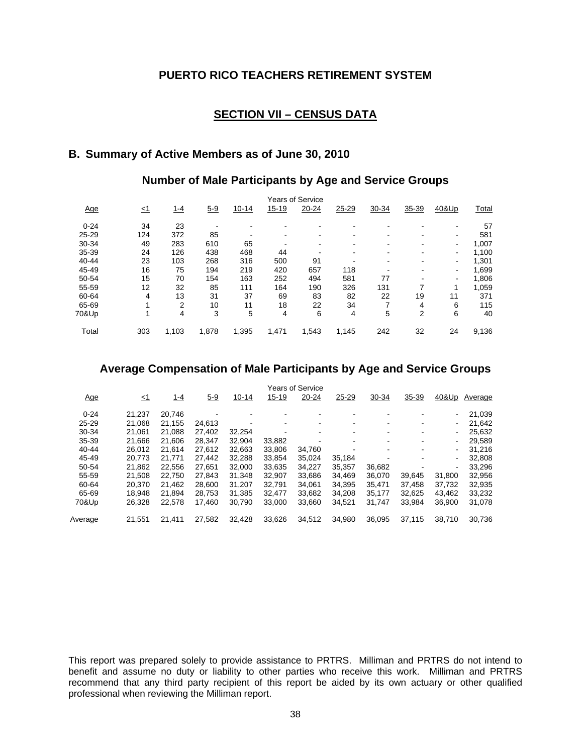### **SECTION VII – CENSUS DATA**

# **B. Summary of Active Members as of June 30, 2010**

#### **Number of Male Participants by Age and Service Groups**

|           |     |       |         |           |       | Years of Service |       |       |       |       |       |
|-----------|-----|-------|---------|-----------|-------|------------------|-------|-------|-------|-------|-------|
| Age       | <1  | 1-4   | $5 - 9$ | $10 - 14$ | 15-19 | 20-24            | 25-29 | 30-34 | 35-39 | 40&Up | Total |
| $0 - 24$  | 34  | 23    |         |           |       |                  |       |       |       |       | 57    |
| $25 - 29$ | 124 | 372   | 85      |           |       |                  |       |       |       | -     | 581   |
| 30-34     | 49  | 283   | 610     | 65        |       |                  |       |       |       | ۰.    | 1,007 |
| 35-39     | 24  | 126   | 438     | 468       | 44    |                  |       |       |       | -     | 1,100 |
| 40-44     | 23  | 103   | 268     | 316       | 500   | 91               |       |       |       | ۰.    | 1,301 |
| 45-49     | 16  | 75    | 194     | 219       | 420   | 657              | 118   |       |       | -     | 1,699 |
| 50-54     | 15  | 70    | 154     | 163       | 252   | 494              | 581   | 77    |       | -     | 1,806 |
| 55-59     | 12  | 32    | 85      | 111       | 164   | 190              | 326   | 131   |       | 1     | 1,059 |
| 60-64     | 4   | 13    | 31      | 37        | 69    | 83               | 82    | 22    | 19    | 11    | 371   |
| 65-69     |     | 2     | 10      | 11        | 18    | 22               | 34    |       | 4     | 6     | 115   |
| 70&Up     |     | 4     | 3       | 5         | 4     | 6                | 4     | 5     | 2     | 6     | 40    |
| Total     | 303 | 1,103 | 1,878   | 1.395     | 1.471 | 1,543            | 1,145 | 242   | 32    | 24    | 9,136 |

#### **Average Compensation of Male Participants by Age and Service Groups**

| Age       | <u>∠1</u> | 1-4    | $5 - 9$ | $10 - 14$ | $15 - 19$ | <b>Years of Service</b><br>20-24 | 25-29  | 30-34  | 35-39  | 40&Up  | Average |
|-----------|-----------|--------|---------|-----------|-----------|----------------------------------|--------|--------|--------|--------|---------|
| $0 - 24$  | 21.237    | 20,746 |         |           |           |                                  |        |        |        |        |         |
|           |           |        |         |           |           |                                  |        |        |        | ٠      | 21,039  |
| $25 - 29$ | 21.068    | 21.155 | 24.613  |           |           |                                  |        |        |        | ٠      | 21,642  |
| 30-34     | 21.061    | 21.088 | 27.402  | 32,254    |           | $\,$                             | ۰      | $\,$   | ٠      | ٠      | 25,632  |
| 35-39     | 21.666    | 21.606 | 28.347  | 32.904    | 33,882    |                                  |        |        |        | -      | 29,589  |
| 40-44     | 26,012    | 21.614 | 27,612  | 32,663    | 33,806    | 34,760                           |        |        |        | ٠      | 31,216  |
| 45-49     | 20.773    | 21.771 | 27,442  | 32,288    | 33,854    | 35,024                           | 35,184 |        |        | ٠      | 32,808  |
| 50-54     | 21.862    | 22.556 | 27.651  | 32.000    | 33.635    | 34.227                           | 35.357 | 36,682 |        | ۰      | 33,296  |
| 55-59     | 21,508    | 22.750 | 27,843  | 31,348    | 32,907    | 33,686                           | 34,469 | 36,070 | 39,645 | 31,800 | 32,956  |
| 60-64     | 20.370    | 21.462 | 28.600  | 31,207    | 32.791    | 34,061                           | 34,395 | 35,471 | 37,458 | 37,732 | 32,935  |
| 65-69     | 18.948    | 21.894 | 28.753  | 31,385    | 32,477    | 33,682                           | 34,208 | 35,177 | 32,625 | 43,462 | 33,232  |
| 70&Up     | 26,328    | 22.578 | 17.460  | 30,790    | 33.000    | 33,660                           | 34,521 | 31,747 | 33,984 | 36,900 | 31,078  |
| Average   | 21.551    | 21.411 | 27,582  | 32.428    | 33.626    | 34,512                           | 34,980 | 36,095 | 37,115 | 38.710 | 30,736  |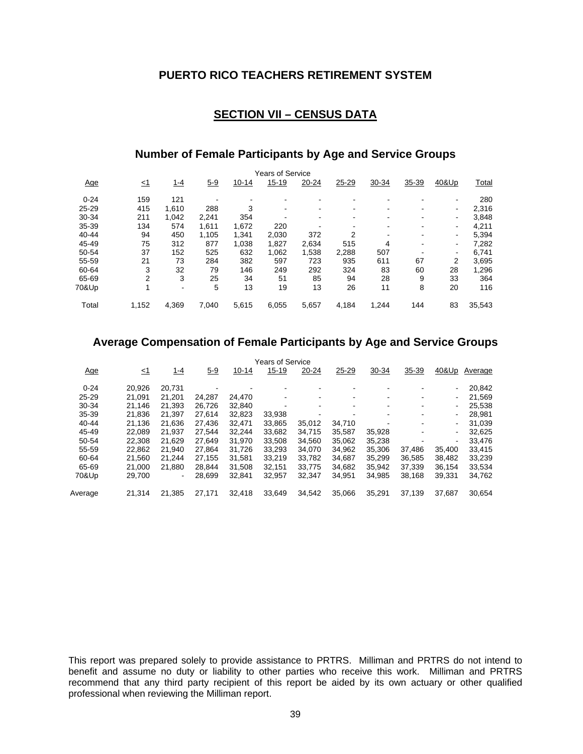### **SECTION VII – CENSUS DATA**

### **Number of Female Participants by Age and Service Groups**

|           |           |       |       |           | <b>Years of Service</b> |       |       |       |       |       |        |
|-----------|-----------|-------|-------|-----------|-------------------------|-------|-------|-------|-------|-------|--------|
| Age       | <u>≤1</u> | 1-4   | $5-9$ | $10 - 14$ | $15 - 19$               | 20-24 | 25-29 | 30-34 | 35-39 | 40&Up | Total  |
| $0 - 24$  | 159       | 121   |       |           |                         |       |       |       |       |       | 280    |
| $25 - 29$ | 415       | 1.610 | 288   | 3         |                         |       |       |       |       | ۰     | 2,316  |
| 30-34     | 211       | 1.042 | 2.241 | 354       |                         |       |       |       |       | ۰     | 3,848  |
| 35-39     | 134       | 574   | 1.611 | 1,672     | 220                     |       |       |       |       | ۰     | 4,211  |
| $40 - 44$ | 94        | 450   | 1.105 | 1.341     | 2.030                   | 372   | 2     |       |       | ۰     | 5,394  |
| 45-49     | 75        | 312   | 877   | 1,038     | 1,827                   | 2,634 | 515   | 4     |       | ۰     | 7,282  |
| 50-54     | 37        | 152   | 525   | 632       | 1,062                   | 1,538 | 2,288 | 507   |       | -     | 6,741  |
| 55-59     | 21        | 73    | 284   | 382       | 597                     | 723   | 935   | 611   | 67    | 2     | 3,695  |
| 60-64     | 3         | 32    | 79    | 146       | 249                     | 292   | 324   | 83    | 60    | 28    | 1,296  |
| 65-69     | 2         | 3     | 25    | 34        | 51                      | 85    | 94    | 28    | 9     | 33    | 364    |
| 70&Up     |           | $\,$  | 5     | 13        | 19                      | 13    | 26    | 11    | 8     | 20    | 116    |
| Total     | 1,152     | 4.369 | 7.040 | 5,615     | 6,055                   | 5,657 | 4,184 | 1,244 | 144   | 83    | 35,543 |

### **Average Compensation of Female Participants by Age and Service Groups**

|            | <b>Years of Service</b> |                |         |           |           |        |        |                          |        |        |         |
|------------|-------------------------|----------------|---------|-----------|-----------|--------|--------|--------------------------|--------|--------|---------|
| <u>Age</u> | <u>&lt;1</u>            | 1-4            | $5 - 9$ | $10 - 14$ | $15 - 19$ | 20-24  | 25-29  | 30-34                    | 35-39  | 40&Up  | Average |
| $0 - 24$   | 20.926                  | 20.731         |         |           |           |        |        |                          |        |        | 20,842  |
| $25 - 29$  | 21.091                  | 21.201         | 24.287  | 24.470    |           |        |        |                          |        | ۰.     | 21,569  |
| 30-34      | 21.146                  | 21.393         | 26.726  | 32.840    |           | -      | ۰      | $\overline{\phantom{a}}$ | ٠      | ۰.     | 25,538  |
| $35 - 39$  | 21,836                  | 21.397         | 27,614  | 32,823    | 33,938    |        |        |                          |        |        | 28.981  |
| 40-44      | 21.136                  | 21.636         | 27.436  | 32.471    | 33.865    | 35,012 | 34.710 |                          |        |        | 31,039  |
| 45-49      | 22.089                  | 21.937         | 27.544  | 32.244    | 33,682    | 34.715 | 35,587 | 35,928                   |        | ٠      | 32,625  |
| 50-54      | 22.308                  | 21.629         | 27.649  | 31.970    | 33,508    | 34,560 | 35.062 | 35,238                   |        |        | 33,476  |
| 55-59      | 22.862                  | 21.940         | 27.864  | 31.726    | 33,293    | 34.070 | 34,962 | 35,306                   | 37,486 | 35.400 | 33,415  |
| 60-64      | 21.560                  | 21.244         | 27.155  | 31,581    | 33,219    | 33,782 | 34,687 | 35,299                   | 36,585 | 38,482 | 33,239  |
| 65-69      | 21.000                  | 21.880         | 28.844  | 31.508    | 32.151    | 33.775 | 34.682 | 35.942                   | 37.339 | 36.154 | 33,534  |
| 70&Up      | 29,700                  | $\blacksquare$ | 28,699  | 32,841    | 32,957    | 32,347 | 34,951 | 34,985                   | 38,168 | 39,331 | 34,762  |
| Average    | 21.314                  | 21.385         | 27.171  | 32,418    | 33.649    | 34,542 | 35.066 | 35,291                   | 37.139 | 37.687 | 30,654  |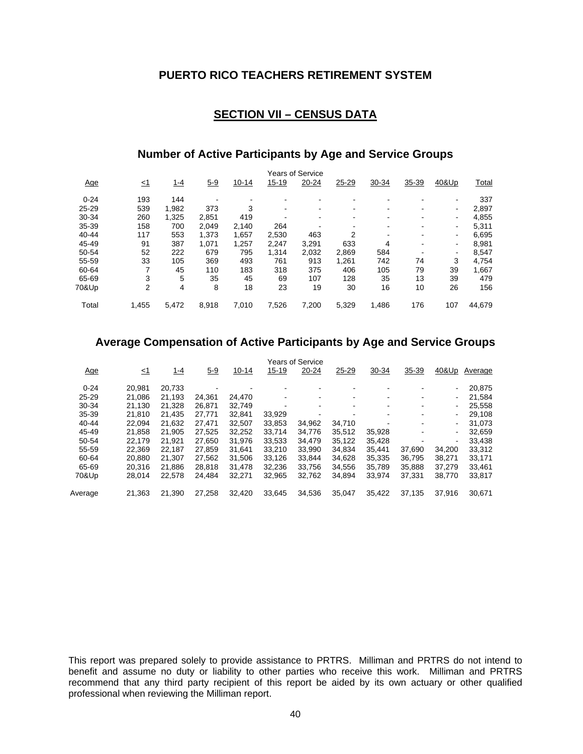### **SECTION VII – CENSUS DATA**

### **Number of Active Participants by Age and Service Groups**

|            |           |       |       |           |           | <b>Years of Service</b> |       |       |       |       |        |
|------------|-----------|-------|-------|-----------|-----------|-------------------------|-------|-------|-------|-------|--------|
| <u>Age</u> | <u>≤1</u> | 1-4   | $5-9$ | $10 - 14$ | $15 - 19$ | 20-24                   | 25-29 | 30-34 | 35-39 | 40&Up | Total  |
| $0 - 24$   | 193       | 144   |       |           |           |                         |       |       |       |       | 337    |
| $25 - 29$  | 539       | 1,982 | 373   | 3         | $\,$      |                         |       |       |       | ۰     | 2,897  |
| 30-34      | 260       | 1.325 | 2,851 | 419       |           |                         |       |       |       | $\,$  | 4,855  |
| 35-39      | 158       | 700   | 2.049 | 2.140     | 264       |                         |       |       |       |       | 5,311  |
| $40 - 44$  | 117       | 553   | 1,373 | 1.657     | 2,530     | 463                     | 2     |       |       | ۰     | 6,695  |
| 45-49      | 91        | 387   | 1,071 | 1,257     | 2.247     | 3.291                   | 633   | 4     |       | ۰     | 8,981  |
| 50-54      | 52        | 222   | 679   | 795       | 1.314     | 2.032                   | 2.869 | 584   |       |       | 8,547  |
| 55-59      | 33        | 105   | 369   | 493       | 761       | 913                     | 1.261 | 742   | 74    | 3     | 4.754  |
| 60-64      |           | 45    | 110   | 183       | 318       | 375                     | 406   | 105   | 79    | 39    | 1,667  |
| 65-69      | 3         | 5     | 35    | 45        | 69        | 107                     | 128   | 35    | 13    | 39    | 479    |
| 70&Up      | 2         | 4     | 8     | 18        | 23        | 19                      | 30    | 16    | 10    | 26    | 156    |
| Total      | 1.455     | 5.472 | 8,918 | 7,010     | 7,526     | 7,200                   | 5.329 | 1,486 | 176   | 107   | 44,679 |

#### **Average Compensation of Active Participants by Age and Service Groups**

|            |        |             |         |           |           | <b>Years of Service</b>  |        |        |        |        |         |
|------------|--------|-------------|---------|-----------|-----------|--------------------------|--------|--------|--------|--------|---------|
| <u>Age</u> | ≤1     | <u> 1-4</u> | $5 - 9$ | $10 - 14$ | $15 - 19$ | 20-24                    | 25-29  | 30-34  | 35-39  | 40&Up  | Average |
| $0 - 24$   | 20.981 | 20.733      |         |           |           |                          |        |        |        | ٠      | 20,875  |
| $25 - 29$  | 21.086 | 21.193      | 24.361  | 24,470    |           |                          |        |        |        | ٠      | 21,584  |
| 30-34      | 21.130 | 21.328      | 26.871  | 32.749    | -         | $\overline{\phantom{a}}$ | -      | -      |        | ۰      | 25,558  |
| $35 - 39$  | 21,810 | 21,435      | 27.771  | 32,841    | 33,929    |                          |        |        |        |        | 29,108  |
| $40 - 44$  | 22,094 | 21.632      | 27.471  | 32,507    | 33,853    | 34,962                   | 34,710 |        |        | ٠      | 31,073  |
| 45-49      | 21,858 | 21.905      | 27,525  | 32,252    | 33,714    | 34,776                   | 35,512 | 35,928 |        | -      | 32,659  |
| 50-54      | 22.179 | 21.921      | 27,650  | 31,976    | 33,533    | 34.479                   | 35,122 | 35,428 |        | ۰      | 33,438  |
| 55-59      | 22.369 | 22.187      | 27.859  | 31.641    | 33.210    | 33.990                   | 34.834 | 35.441 | 37.690 | 34.200 | 33,312  |
| 60-64      | 20,880 | 21.307      | 27,562  | 31,506    | 33,126    | 33,844                   | 34,628 | 35,335 | 36,795 | 38,271 | 33,171  |
| 65-69      | 20.316 | 21.886      | 28,818  | 31,478    | 32,236    | 33,756                   | 34,556 | 35,789 | 35,888 | 37,279 | 33,461  |
| 70&Up      | 28,014 | 22,578      | 24,484  | 32,271    | 32,965    | 32,762                   | 34,894 | 33,974 | 37,331 | 38,770 | 33,817  |
| Average    | 21,363 | 21,390      | 27,258  | 32,420    | 33,645    | 34,536                   | 35,047 | 35,422 | 37,135 | 37,916 | 30,671  |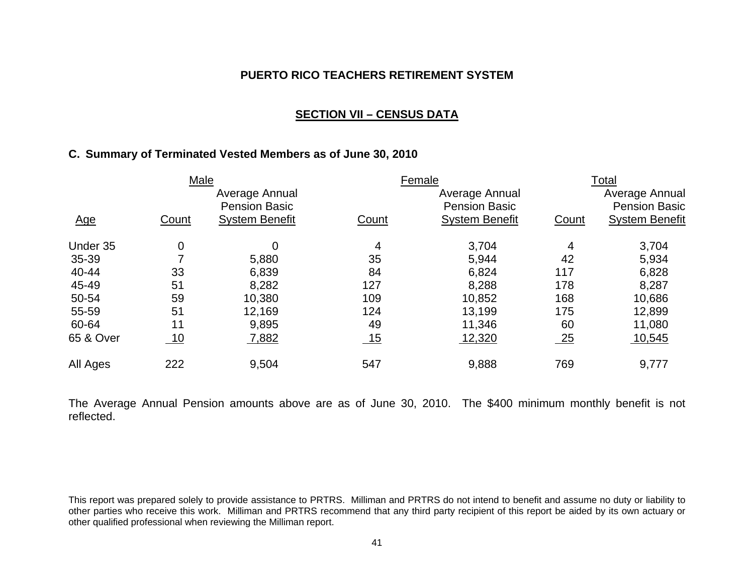#### **SECTION VII – CENSUS DATA**

# **C. Summary of Terminated Vested Members as of June 30, 2010**

|            | Male  |                       |       | Female                |       | Total                 |
|------------|-------|-----------------------|-------|-----------------------|-------|-----------------------|
|            |       | Average Annual        |       | Average Annual        |       | Average Annual        |
|            |       | <b>Pension Basic</b>  |       | <b>Pension Basic</b>  |       | <b>Pension Basic</b>  |
| <u>Age</u> | Count | <b>System Benefit</b> | Count | <b>System Benefit</b> | Count | <b>System Benefit</b> |
| Under 35   | 0     | 0                     | 4     | 3,704                 | 4     | 3,704                 |
| 35-39      |       | 5,880                 | 35    | 5,944                 | 42    | 5,934                 |
| 40-44      | 33    | 6,839                 | 84    | 6,824                 | 117   | 6,828                 |
| 45-49      | 51    | 8,282                 | 127   | 8,288                 | 178   | 8,287                 |
| 50-54      | 59    | 10,380                | 109   | 10,852                | 168   | 10,686                |
| 55-59      | 51    | 12,169                | 124   | 13,199                | 175   | 12,899                |
| 60-64      | 11    | 9,895                 | 49    | 11,346                | 60    | 11,080                |
| 65 & Over  | 10    | 7,882                 | 15    | 12,320                | 25    | 10,545                |
| All Ages   | 222   | 9,504                 | 547   | 9,888                 | 769   | 9,777                 |

The Average Annual Pension amounts above are as of June 30, 2010. The \$400 minimum monthly benefit is not reflected.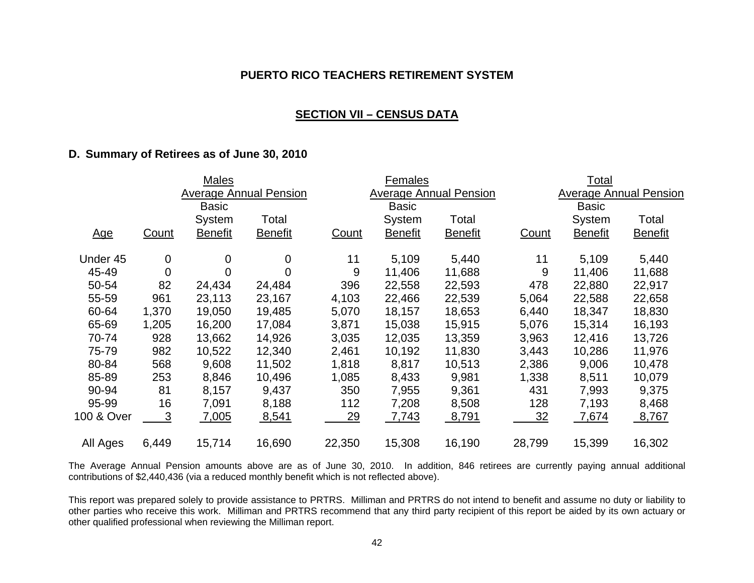#### **SECTION VII – CENSUS DATA**

#### **D. Summary of Retirees as of June 30, 2010**

|            |          | <b>Males</b>   |                               |           | Females        |                               |        | Total          |                               |
|------------|----------|----------------|-------------------------------|-----------|----------------|-------------------------------|--------|----------------|-------------------------------|
|            |          |                | <b>Average Annual Pension</b> |           |                | <b>Average Annual Pension</b> |        |                | <b>Average Annual Pension</b> |
|            |          | <b>Basic</b>   |                               |           | <b>Basic</b>   |                               |        | <b>Basic</b>   |                               |
|            |          | System         | Total                         |           | System         | Total                         |        | System         | Total                         |
| <u>Age</u> | Count    | <b>Benefit</b> | <b>Benefit</b>                | Count     | <b>Benefit</b> | <b>Benefit</b>                | Count  | <b>Benefit</b> | <b>Benefit</b>                |
| Under 45   | 0        | 0              | 0                             | 11        | 5,109          | 5,440                         | 11     | 5,109          | 5,440                         |
| 45-49      | $\Omega$ | 0              | $\mathbf 0$                   | 9         | 11,406         | 11,688                        | 9      | 11,406         | 11,688                        |
| 50-54      | 82       | 24,434         | 24,484                        | 396       | 22,558         | 22,593                        | 478    | 22,880         | 22,917                        |
| 55-59      | 961      | 23,113         | 23,167                        | 4,103     | 22,466         | 22,539                        | 5,064  | 22,588         | 22,658                        |
| 60-64      | 1,370    | 19,050         | 19,485                        | 5,070     | 18,157         | 18,653                        | 6,440  | 18,347         | 18,830                        |
| 65-69      | 1,205    | 16,200         | 17,084                        | 3,871     | 15,038         | 15,915                        | 5,076  | 15,314         | 16,193                        |
| 70-74      | 928      | 13,662         | 14,926                        | 3,035     | 12,035         | 13,359                        | 3,963  | 12,416         | 13,726                        |
| 75-79      | 982      | 10,522         | 12,340                        | 2,461     | 10,192         | 11,830                        | 3,443  | 10,286         | 11,976                        |
| 80-84      | 568      | 9,608          | 11,502                        | 1,818     | 8,817          | 10,513                        | 2,386  | 9,006          | 10,478                        |
| 85-89      | 253      | 8,846          | 10,496                        | 1,085     | 8,433          | 9,981                         | 1,338  | 8,511          | 10,079                        |
| 90-94      | 81       | 8,157          | 9,437                         | 350       | 7,955          | 9,361                         | 431    | 7,993          | 9,375                         |
| 95-99      | 16       | 7,091          | 8,188                         | 112       | 7,208          | 8,508                         | 128    | 7,193          | 8,468                         |
| 100 & Over | 3        | 7,005          | 8,541                         | <u>29</u> | 7,743          | <u>8,791</u>                  | 32     | 7,674          | 8,767                         |
| All Ages   | 6,449    | 15,714         | 16,690                        | 22,350    | 15,308         | 16,190                        | 28,799 | 15,399         | 16,302                        |

The Average Annual Pension amounts above are as of June 30, 2010. In addition, 846 retirees are currently paying annual additional contributions of \$2,440,436 (via a reduced monthly benefit which is not reflected above).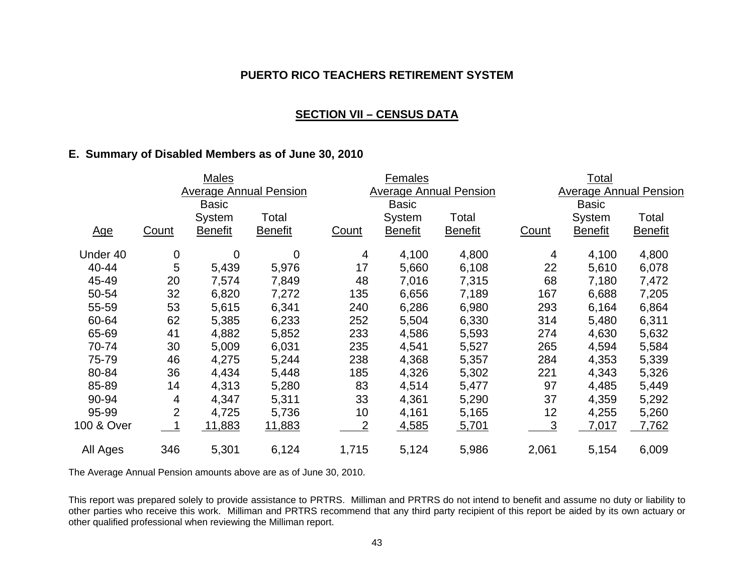### **SECTION VII – CENSUS DATA**

### **E. Summary of Disabled Members as of June 30, 2010**

|            |                | <b>Males</b>   |                               |                | Females        |                               |       | <u>Total</u>   |                               |
|------------|----------------|----------------|-------------------------------|----------------|----------------|-------------------------------|-------|----------------|-------------------------------|
|            |                |                | <b>Average Annual Pension</b> |                |                | <b>Average Annual Pension</b> |       |                | <b>Average Annual Pension</b> |
|            |                | <b>Basic</b>   |                               |                | <b>Basic</b>   |                               |       | <b>Basic</b>   |                               |
|            |                | System         | Total                         |                | System         | Total                         |       | System         | Total                         |
| <u>Age</u> | Count          | <b>Benefit</b> | <b>Benefit</b>                | <b>Count</b>   | <b>Benefit</b> | <b>Benefit</b>                | Count | <b>Benefit</b> | <b>Benefit</b>                |
| Under 40   | $\mathbf 0$    | 0              | 0                             | 4              | 4,100          | 4,800                         | 4     | 4,100          | 4,800                         |
| 40-44      | 5              | 5,439          | 5,976                         | 17             | 5,660          | 6,108                         | 22    | 5,610          | 6,078                         |
| 45-49      | 20             | 7,574          | 7,849                         | 48             | 7,016          | 7,315                         | 68    | 7,180          | 7,472                         |
| 50-54      | 32             | 6,820          | 7,272                         | 135            | 6,656          | 7,189                         | 167   | 6,688          | 7,205                         |
| 55-59      | 53             | 5,615          | 6,341                         | 240            | 6,286          | 6,980                         | 293   | 6,164          | 6,864                         |
| 60-64      | 62             | 5,385          | 6,233                         | 252            | 5,504          | 6,330                         | 314   | 5,480          | 6,311                         |
| 65-69      | 41             | 4,882          | 5,852                         | 233            | 4,586          | 5,593                         | 274   | 4,630          | 5,632                         |
| 70-74      | 30             | 5,009          | 6,031                         | 235            | 4,541          | 5,527                         | 265   | 4,594          | 5,584                         |
| 75-79      | 46             | 4,275          | 5,244                         | 238            | 4,368          | 5,357                         | 284   | 4,353          | 5,339                         |
| 80-84      | 36             | 4,434          | 5,448                         | 185            | 4,326          | 5,302                         | 221   | 4,343          | 5,326                         |
| 85-89      | 14             | 4,313          | 5,280                         | 83             | 4,514          | 5,477                         | 97    | 4,485          | 5,449                         |
| 90-94      | 4              | 4,347          | 5,311                         | 33             | 4,361          | 5,290                         | 37    | 4,359          | 5,292                         |
| 95-99      | $\overline{2}$ | 4,725          | 5,736                         | 10             | 4,161          | 5,165                         | 12    | 4,255          | 5,260                         |
| 100 & Over |                | 11,883         | <u>11,883</u>                 | $\overline{2}$ | 4,585          | 5,701                         | 3     | 7,017          | 7,762                         |
| All Ages   | 346            | 5,301          | 6,124                         | 1,715          | 5,124          | 5,986                         | 2,061 | 5,154          | 6,009                         |

The Average Annual Pension amounts above are as of June 30, 2010.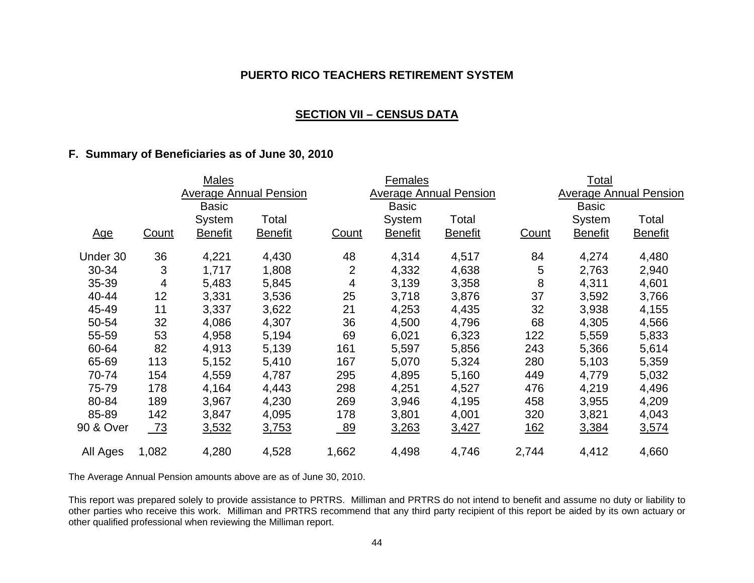#### **SECTION VII – CENSUS DATA**

## **F. Summary of Beneficiaries as of June 30, 2010**

|            |              | Males          |                               |       | Females        |                               |            | <u>Total</u>   |                               |
|------------|--------------|----------------|-------------------------------|-------|----------------|-------------------------------|------------|----------------|-------------------------------|
|            |              |                | <b>Average Annual Pension</b> |       |                | <b>Average Annual Pension</b> |            |                | <b>Average Annual Pension</b> |
|            |              | <b>Basic</b>   |                               |       | <b>Basic</b>   |                               |            | <b>Basic</b>   |                               |
|            |              | System         | Total                         |       | System         | Total                         |            | System         | Total                         |
| <u>Age</u> | <b>Count</b> | <u>Benefit</u> | <b>Benefit</b>                | Count | <u>Benefit</u> | <b>Benefit</b>                | Count      | <b>Benefit</b> | <b>Benefit</b>                |
| Under 30   | 36           | 4,221          | 4,430                         | 48    | 4,314          | 4,517                         | 84         | 4,274          | 4,480                         |
| 30-34      | 3            | 1,717          | 1,808                         | 2     | 4,332          | 4,638                         | 5          | 2,763          | 2,940                         |
| 35-39      | 4            | 5,483          | 5,845                         | 4     | 3,139          | 3,358                         | 8          | 4,311          | 4,601                         |
| 40-44      | 12           | 3,331          | 3,536                         | 25    | 3,718          | 3,876                         | 37         | 3,592          | 3,766                         |
| 45-49      | 11           | 3,337          | 3,622                         | 21    | 4,253          | 4,435                         | 32         | 3,938          | 4,155                         |
| 50-54      | 32           | 4,086          | 4,307                         | 36    | 4,500          | 4,796                         | 68         | 4,305          | 4,566                         |
| 55-59      | 53           | 4,958          | 5,194                         | 69    | 6,021          | 6,323                         | 122        | 5,559          | 5,833                         |
| 60-64      | 82           | 4,913          | 5,139                         | 161   | 5,597          | 5,856                         | 243        | 5,366          | 5,614                         |
| 65-69      | 113          | 5,152          | 5,410                         | 167   | 5,070          | 5,324                         | 280        | 5,103          | 5,359                         |
| 70-74      | 154          | 4,559          | 4,787                         | 295   | 4,895          | 5,160                         | 449        | 4,779          | 5,032                         |
| 75-79      | 178          | 4,164          | 4,443                         | 298   | 4,251          | 4,527                         | 476        | 4,219          | 4,496                         |
| 80-84      | 189          | 3,967          | 4,230                         | 269   | 3,946          | 4,195                         | 458        | 3,955          | 4,209                         |
| 85-89      | 142          | 3,847          | 4,095                         | 178   | 3,801          | 4,001                         | 320        | 3,821          | 4,043                         |
| 90 & Over  | $-73$        | 3,532          | 3,753                         | 89    | <u>3,263</u>   | <u>3,427</u>                  | <u>162</u> | 3,384          | 3,574                         |
| All Ages   | 1,082        | 4,280          | 4,528                         | 1,662 | 4,498          | 4,746                         | 2,744      | 4,412          | 4,660                         |

The Average Annual Pension amounts above are as of June 30, 2010.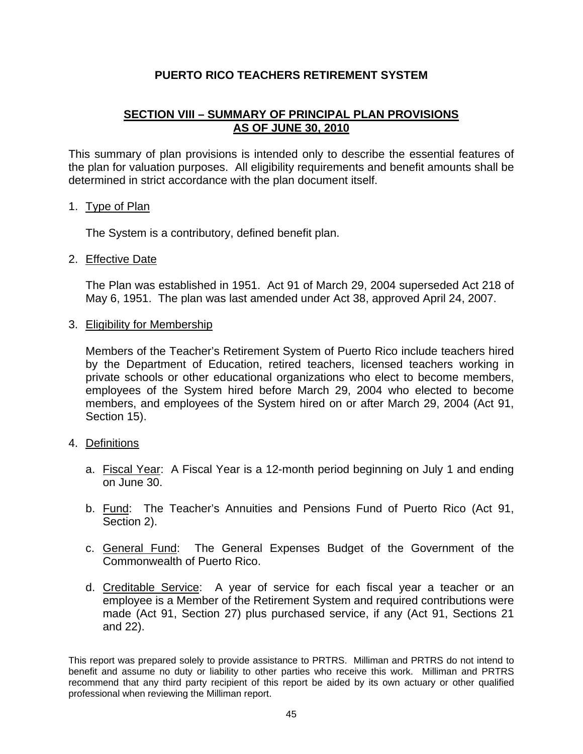# **SECTION VIII – SUMMARY OF PRINCIPAL PLAN PROVISIONS AS OF JUNE 30, 2010**

This summary of plan provisions is intended only to describe the essential features of the plan for valuation purposes. All eligibility requirements and benefit amounts shall be determined in strict accordance with the plan document itself.

#### 1. Type of Plan

The System is a contributory, defined benefit plan.

### 2. Effective Date

 The Plan was established in 1951. Act 91 of March 29, 2004 superseded Act 218 of May 6, 1951. The plan was last amended under Act 38, approved April 24, 2007.

3. Eligibility for Membership

 Members of the Teacher's Retirement System of Puerto Rico include teachers hired by the Department of Education, retired teachers, licensed teachers working in private schools or other educational organizations who elect to become members, employees of the System hired before March 29, 2004 who elected to become members, and employees of the System hired on or after March 29, 2004 (Act 91, Section 15).

#### 4. Definitions

- a. Fiscal Year: A Fiscal Year is a 12-month period beginning on July 1 and ending on June 30.
- b. Fund: The Teacher's Annuities and Pensions Fund of Puerto Rico (Act 91, Section 2).
- c. General Fund: The General Expenses Budget of the Government of the Commonwealth of Puerto Rico.
- d. Creditable Service: A year of service for each fiscal year a teacher or an employee is a Member of the Retirement System and required contributions were made (Act 91, Section 27) plus purchased service, if any (Act 91, Sections 21 and 22).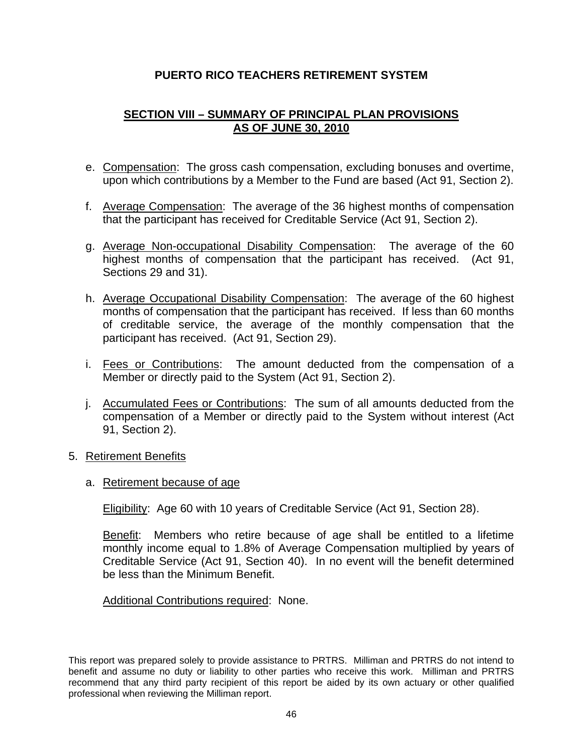# **SECTION VIII – SUMMARY OF PRINCIPAL PLAN PROVISIONS AS OF JUNE 30, 2010**

- e. Compensation: The gross cash compensation, excluding bonuses and overtime, upon which contributions by a Member to the Fund are based (Act 91, Section 2).
- f. Average Compensation: The average of the 36 highest months of compensation that the participant has received for Creditable Service (Act 91, Section 2).
- g. Average Non-occupational Disability Compensation: The average of the 60 highest months of compensation that the participant has received. (Act 91, Sections 29 and 31).
- h. Average Occupational Disability Compensation: The average of the 60 highest months of compensation that the participant has received. If less than 60 months of creditable service, the average of the monthly compensation that the participant has received. (Act 91, Section 29).
- i. Fees or Contributions: The amount deducted from the compensation of a Member or directly paid to the System (Act 91, Section 2).
- j. Accumulated Fees or Contributions: The sum of all amounts deducted from the compensation of a Member or directly paid to the System without interest (Act 91, Section 2).
- 5. Retirement Benefits
	- a. Retirement because of age

Eligibility: Age 60 with 10 years of Creditable Service (Act 91, Section 28).

 Benefit: Members who retire because of age shall be entitled to a lifetime monthly income equal to 1.8% of Average Compensation multiplied by years of Creditable Service (Act 91, Section 40). In no event will the benefit determined be less than the Minimum Benefit.

Additional Contributions required: None.

This report was prepared solely to provide assistance to PRTRS. Milliman and PRTRS do not intend to benefit and assume no duty or liability to other parties who receive this work. Milliman and PRTRS recommend that any third party recipient of this report be aided by its own actuary or other qualified professional when reviewing the Milliman report.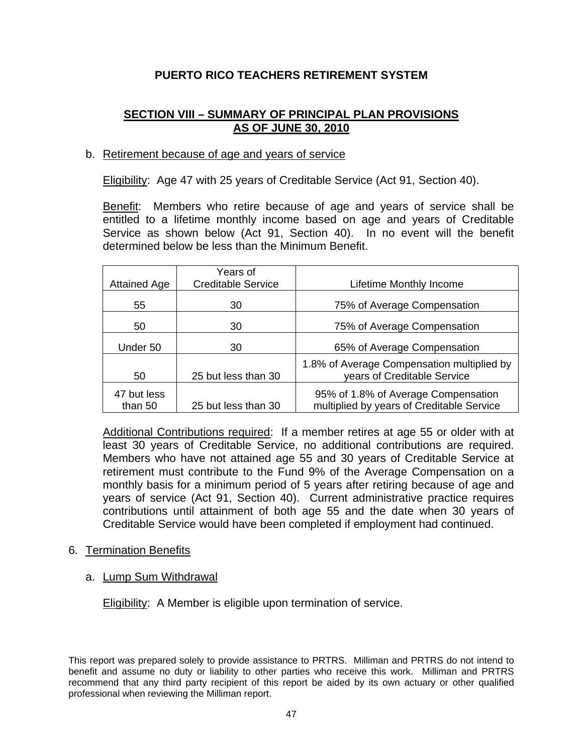# **SECTION VIII – SUMMARY OF PRINCIPAL PLAN PROVISIONS AS OF JUNE 30, 2010**

### b. Retirement because of age and years of service

Eligibility: Age 47 with 25 years of Creditable Service (Act 91, Section 40).

 Benefit: Members who retire because of age and years of service shall be entitled to a lifetime monthly income based on age and years of Creditable Service as shown below (Act 91, Section 40). In no event will the benefit determined below be less than the Minimum Benefit.

| <b>Attained Age</b>    | Years of<br><b>Creditable Service</b> | Lifetime Monthly Income                                                          |
|------------------------|---------------------------------------|----------------------------------------------------------------------------------|
| 55                     | 30                                    | 75% of Average Compensation                                                      |
| 50                     | 30                                    | 75% of Average Compensation                                                      |
| Under 50               | 30                                    | 65% of Average Compensation                                                      |
| 50                     | 25 but less than 30                   | 1.8% of Average Compensation multiplied by<br>years of Creditable Service        |
| 47 but less<br>than 50 | 25 but less than 30                   | 95% of 1.8% of Average Compensation<br>multiplied by years of Creditable Service |

 Additional Contributions required: If a member retires at age 55 or older with at least 30 years of Creditable Service, no additional contributions are required. Members who have not attained age 55 and 30 years of Creditable Service at retirement must contribute to the Fund 9% of the Average Compensation on a monthly basis for a minimum period of 5 years after retiring because of age and years of service (Act 91, Section 40). Current administrative practice requires contributions until attainment of both age 55 and the date when 30 years of Creditable Service would have been completed if employment had continued.

#### 6. Termination Benefits

#### a. Lump Sum Withdrawal

Eligibility: A Member is eligible upon termination of service.

This report was prepared solely to provide assistance to PRTRS. Milliman and PRTRS do not intend to benefit and assume no duty or liability to other parties who receive this work. Milliman and PRTRS recommend that any third party recipient of this report be aided by its own actuary or other qualified professional when reviewing the Milliman report.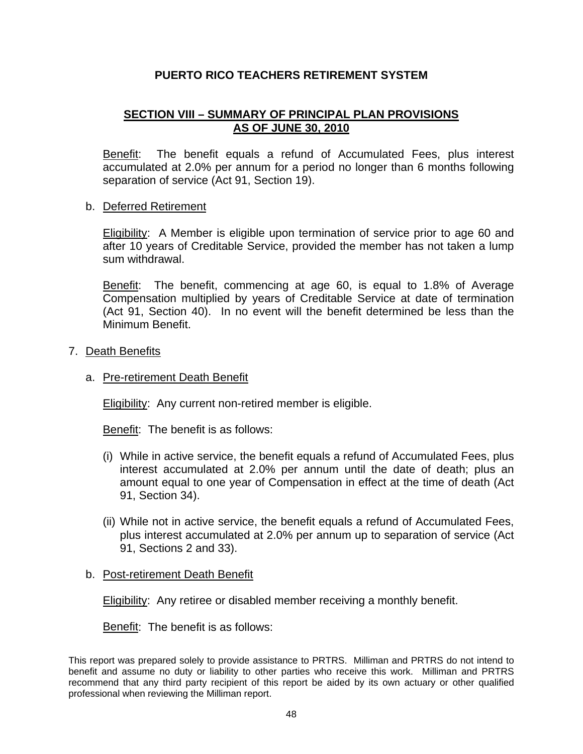# **SECTION VIII – SUMMARY OF PRINCIPAL PLAN PROVISIONS AS OF JUNE 30, 2010**

Benefit: The benefit equals a refund of Accumulated Fees, plus interest accumulated at 2.0% per annum for a period no longer than 6 months following separation of service (Act 91, Section 19).

### b. Deferred Retirement

 Eligibility: A Member is eligible upon termination of service prior to age 60 and after 10 years of Creditable Service, provided the member has not taken a lump sum withdrawal.

Benefit: The benefit, commencing at age 60, is equal to 1.8% of Average Compensation multiplied by years of Creditable Service at date of termination (Act 91, Section 40). In no event will the benefit determined be less than the Minimum Benefit.

#### 7. Death Benefits

#### a. Pre-retirement Death Benefit

Eligibility: Any current non-retired member is eligible.

Benefit: The benefit is as follows:

- (i) While in active service, the benefit equals a refund of Accumulated Fees, plus interest accumulated at 2.0% per annum until the date of death; plus an amount equal to one year of Compensation in effect at the time of death (Act 91, Section 34).
- (ii) While not in active service, the benefit equals a refund of Accumulated Fees, plus interest accumulated at 2.0% per annum up to separation of service (Act 91, Sections 2 and 33).

#### b. Post-retirement Death Benefit

Eligibility: Any retiree or disabled member receiving a monthly benefit.

Benefit: The benefit is as follows: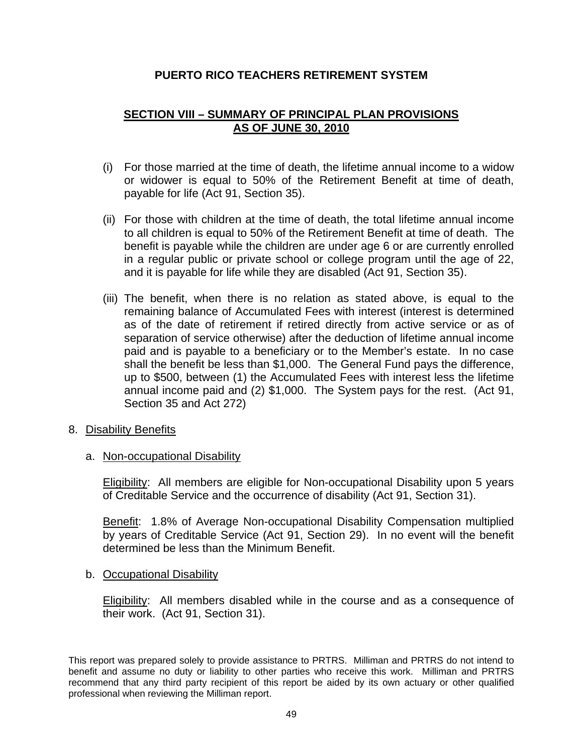# **SECTION VIII – SUMMARY OF PRINCIPAL PLAN PROVISIONS AS OF JUNE 30, 2010**

- (i) For those married at the time of death, the lifetime annual income to a widow or widower is equal to 50% of the Retirement Benefit at time of death, payable for life (Act 91, Section 35).
- (ii) For those with children at the time of death, the total lifetime annual income to all children is equal to 50% of the Retirement Benefit at time of death. The benefit is payable while the children are under age 6 or are currently enrolled in a regular public or private school or college program until the age of 22, and it is payable for life while they are disabled (Act 91, Section 35).
- (iii) The benefit, when there is no relation as stated above, is equal to the remaining balance of Accumulated Fees with interest (interest is determined as of the date of retirement if retired directly from active service or as of separation of service otherwise) after the deduction of lifetime annual income paid and is payable to a beneficiary or to the Member's estate. In no case shall the benefit be less than \$1,000. The General Fund pays the difference, up to \$500, between (1) the Accumulated Fees with interest less the lifetime annual income paid and (2) \$1,000. The System pays for the rest. (Act 91, Section 35 and Act 272)
- 8. Disability Benefits
	- a. Non-occupational Disability

 Eligibility: All members are eligible for Non-occupational Disability upon 5 years of Creditable Service and the occurrence of disability (Act 91, Section 31).

 Benefit: 1.8% of Average Non-occupational Disability Compensation multiplied by years of Creditable Service (Act 91, Section 29). In no event will the benefit determined be less than the Minimum Benefit.

b. Occupational Disability

Eligibility: All members disabled while in the course and as a consequence of their work. (Act 91, Section 31).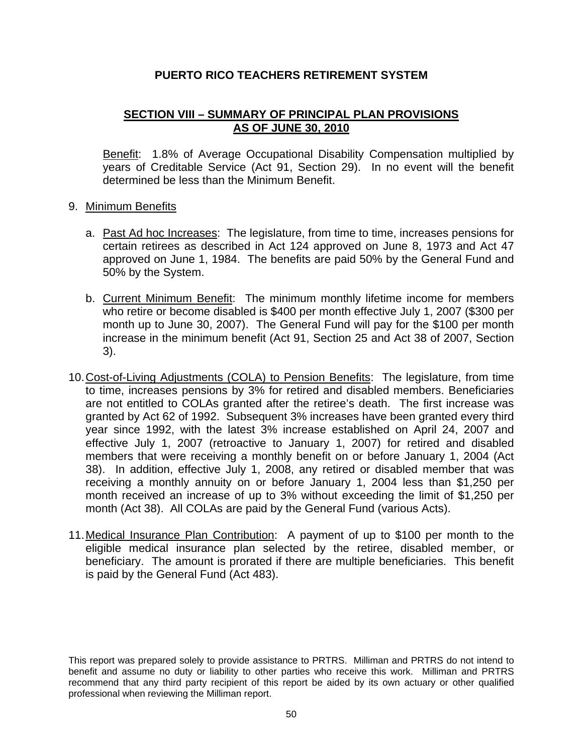# **SECTION VIII – SUMMARY OF PRINCIPAL PLAN PROVISIONS AS OF JUNE 30, 2010**

 Benefit: 1.8% of Average Occupational Disability Compensation multiplied by years of Creditable Service (Act 91, Section 29). In no event will the benefit determined be less than the Minimum Benefit.

### 9. Minimum Benefits

- a. Past Ad hoc Increases: The legislature, from time to time, increases pensions for certain retirees as described in Act 124 approved on June 8, 1973 and Act 47 approved on June 1, 1984. The benefits are paid 50% by the General Fund and 50% by the System.
- b. Current Minimum Benefit: The minimum monthly lifetime income for members who retire or become disabled is \$400 per month effective July 1, 2007 (\$300 per month up to June 30, 2007). The General Fund will pay for the \$100 per month increase in the minimum benefit (Act 91, Section 25 and Act 38 of 2007, Section 3).
- 10. Cost-of-Living Adjustments (COLA) to Pension Benefits: The legislature, from time to time, increases pensions by 3% for retired and disabled members. Beneficiaries are not entitled to COLAs granted after the retiree's death. The first increase was granted by Act 62 of 1992. Subsequent 3% increases have been granted every third year since 1992, with the latest 3% increase established on April 24, 2007 and effective July 1, 2007 (retroactive to January 1, 2007) for retired and disabled members that were receiving a monthly benefit on or before January 1, 2004 (Act 38). In addition, effective July 1, 2008, any retired or disabled member that was receiving a monthly annuity on or before January 1, 2004 less than \$1,250 per month received an increase of up to 3% without exceeding the limit of \$1,250 per month (Act 38). All COLAs are paid by the General Fund (various Acts).
- 11. Medical Insurance Plan Contribution: A payment of up to \$100 per month to the eligible medical insurance plan selected by the retiree, disabled member, or beneficiary. The amount is prorated if there are multiple beneficiaries. This benefit is paid by the General Fund (Act 483).

This report was prepared solely to provide assistance to PRTRS. Milliman and PRTRS do not intend to benefit and assume no duty or liability to other parties who receive this work. Milliman and PRTRS recommend that any third party recipient of this report be aided by its own actuary or other qualified professional when reviewing the Milliman report.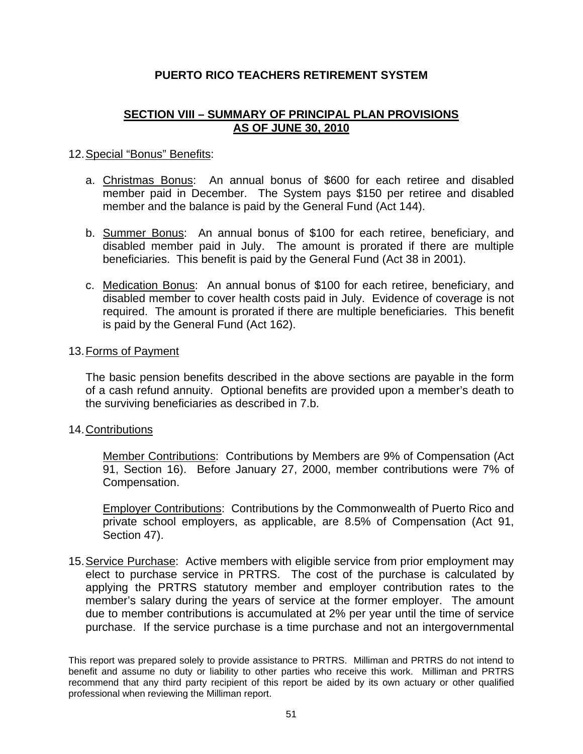# **SECTION VIII – SUMMARY OF PRINCIPAL PLAN PROVISIONS AS OF JUNE 30, 2010**

### 12. Special "Bonus" Benefits:

- a. Christmas Bonus: An annual bonus of \$600 for each retiree and disabled member paid in December. The System pays \$150 per retiree and disabled member and the balance is paid by the General Fund (Act 144).
- b. Summer Bonus: An annual bonus of \$100 for each retiree, beneficiary, and disabled member paid in July. The amount is prorated if there are multiple beneficiaries. This benefit is paid by the General Fund (Act 38 in 2001).
- c. Medication Bonus: An annual bonus of \$100 for each retiree, beneficiary, and disabled member to cover health costs paid in July. Evidence of coverage is not required. The amount is prorated if there are multiple beneficiaries. This benefit is paid by the General Fund (Act 162).

#### 13. Forms of Payment

The basic pension benefits described in the above sections are payable in the form of a cash refund annuity. Optional benefits are provided upon a member's death to the surviving beneficiaries as described in 7.b.

#### 14. Contributions

 Member Contributions: Contributions by Members are 9% of Compensation (Act 91, Section 16). Before January 27, 2000, member contributions were 7% of Compensation.

 Employer Contributions: Contributions by the Commonwealth of Puerto Rico and private school employers, as applicable, are 8.5% of Compensation (Act 91, Section 47).

15. Service Purchase: Active members with eligible service from prior employment may elect to purchase service in PRTRS. The cost of the purchase is calculated by applying the PRTRS statutory member and employer contribution rates to the member's salary during the years of service at the former employer. The amount due to member contributions is accumulated at 2% per year until the time of service purchase. If the service purchase is a time purchase and not an intergovernmental

This report was prepared solely to provide assistance to PRTRS. Milliman and PRTRS do not intend to benefit and assume no duty or liability to other parties who receive this work. Milliman and PRTRS recommend that any third party recipient of this report be aided by its own actuary or other qualified professional when reviewing the Milliman report.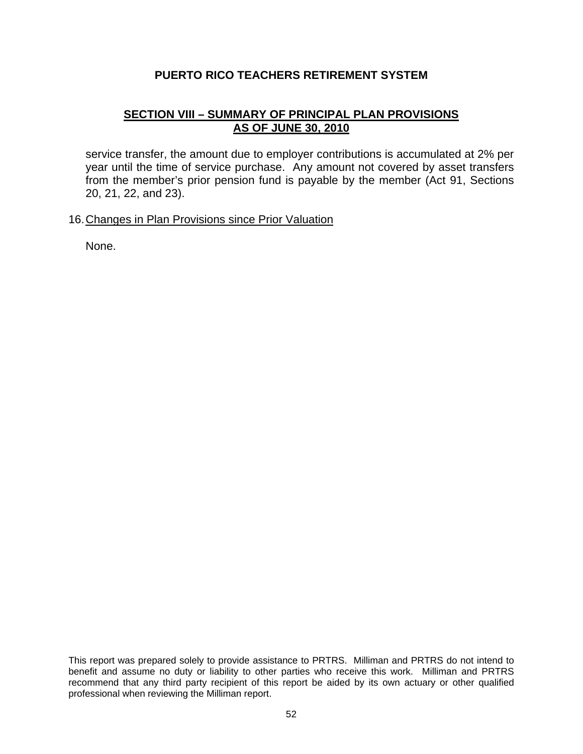# **SECTION VIII – SUMMARY OF PRINCIPAL PLAN PROVISIONS AS OF JUNE 30, 2010**

service transfer, the amount due to employer contributions is accumulated at 2% per year until the time of service purchase. Any amount not covered by asset transfers from the member's prior pension fund is payable by the member (Act 91, Sections 20, 21, 22, and 23).

### 16. Changes in Plan Provisions since Prior Valuation

None.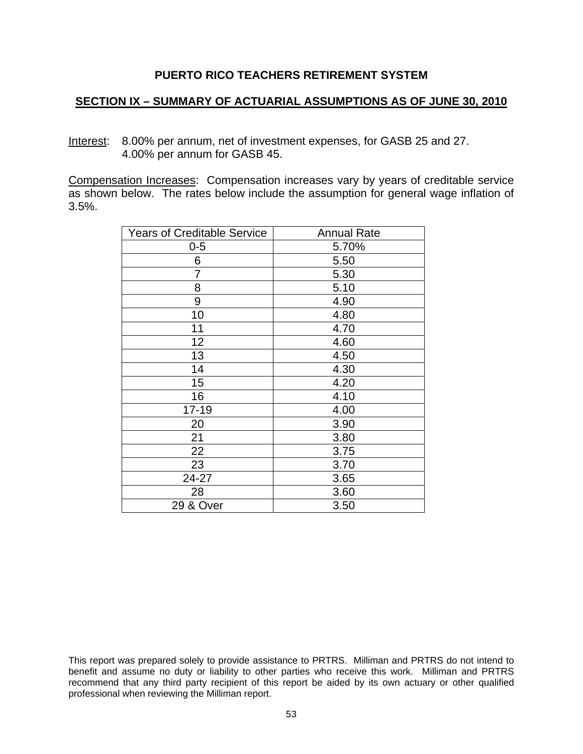### **SECTION IX – SUMMARY OF ACTUARIAL ASSUMPTIONS AS OF JUNE 30, 2010**

Interest: 8.00% per annum, net of investment expenses, for GASB 25 and 27. 4.00% per annum for GASB 45.

Compensation Increases: Compensation increases vary by years of creditable service as shown below. The rates below include the assumption for general wage inflation of 3.5%.

| <b>Years of Creditable Service</b> | <b>Annual Rate</b> |
|------------------------------------|--------------------|
| $0 - 5$                            | 5.70%              |
| 6                                  | 5.50               |
| 7                                  | 5.30               |
| 8                                  | 5.10               |
| 9                                  | 4.90               |
| 10                                 | 4.80               |
| 11                                 | 4.70               |
| 12                                 | 4.60               |
| 13                                 | 4.50               |
| 14                                 | 4.30               |
| 15                                 | 4.20               |
| 16                                 | 4.10               |
| $17 - 19$                          | 4.00               |
| 20                                 | 3.90               |
| 21                                 | 3.80               |
| 22                                 | 3.75               |
| 23                                 | 3.70               |
| 24-27                              | 3.65               |
| 28                                 | 3.60               |
| 29 & Over                          | 3.50               |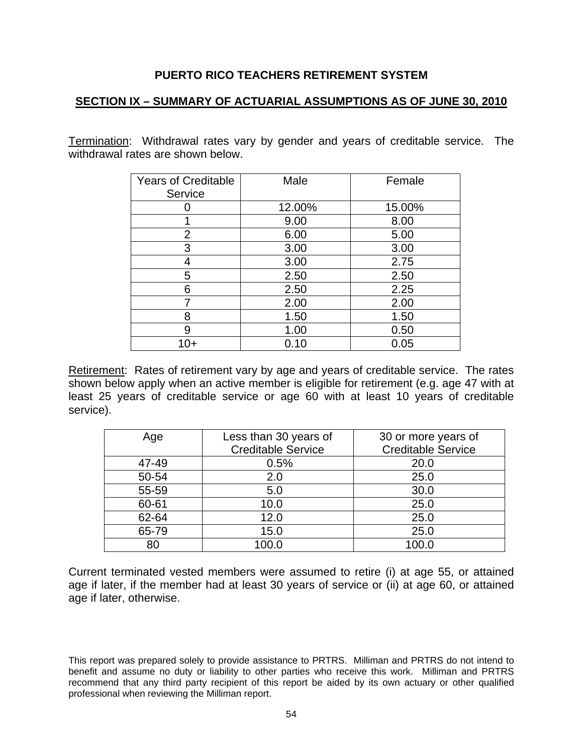### **SECTION IX – SUMMARY OF ACTUARIAL ASSUMPTIONS AS OF JUNE 30, 2010**

Termination: Withdrawal rates vary by gender and years of creditable service. The withdrawal rates are shown below.

| <b>Years of Creditable</b><br>Service | Male   | Female |
|---------------------------------------|--------|--------|
|                                       | 12.00% | 15.00% |
|                                       | 9.00   | 8.00   |
| 2                                     | 6.00   | 5.00   |
| 3                                     | 3.00   | 3.00   |
| 4                                     | 3.00   | 2.75   |
| 5                                     | 2.50   | 2.50   |
| 6                                     | 2.50   | 2.25   |
| 7                                     | 2.00   | 2.00   |
| 8                                     | 1.50   | 1.50   |
| 9                                     | 1.00   | 0.50   |
| 10+                                   | 0.10   | 0.05   |

Retirement: Rates of retirement vary by age and years of creditable service. The rates shown below apply when an active member is eligible for retirement (e.g. age 47 with at least 25 years of creditable service or age 60 with at least 10 years of creditable service).

| Age   | Less than 30 years of<br><b>Creditable Service</b> | 30 or more years of<br><b>Creditable Service</b> |
|-------|----------------------------------------------------|--------------------------------------------------|
| 47-49 | 0.5%                                               | 20.0                                             |
| 50-54 | 2.0                                                | 25.0                                             |
| 55-59 | 5.0                                                | 30.0                                             |
| 60-61 | 10.0                                               | 25.0                                             |
| 62-64 | 12.0                                               | 25.0                                             |
| 65-79 | 15.0                                               | 25.0                                             |
| 80    | 100.0                                              | 100.0                                            |

Current terminated vested members were assumed to retire (i) at age 55, or attained age if later, if the member had at least 30 years of service or (ii) at age 60, or attained age if later, otherwise.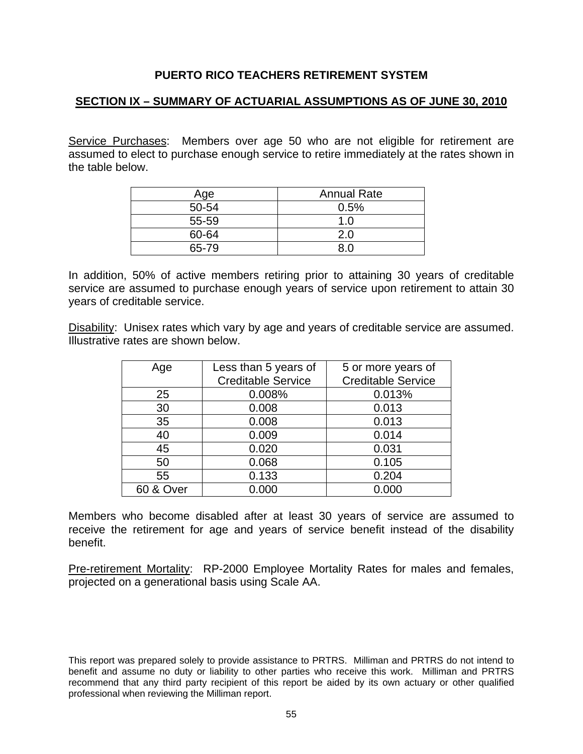# **SECTION IX – SUMMARY OF ACTUARIAL ASSUMPTIONS AS OF JUNE 30, 2010**

Service Purchases: Members over age 50 who are not eligible for retirement are assumed to elect to purchase enough service to retire immediately at the rates shown in the table below.

| Age   | <b>Annual Rate</b> |
|-------|--------------------|
| 50-54 | 0.5%               |
| 55-59 | 1.0                |
| 60-64 | $2.0^{\circ}$      |
| 65-79 |                    |

In addition, 50% of active members retiring prior to attaining 30 years of creditable service are assumed to purchase enough years of service upon retirement to attain 30 years of creditable service.

Disability: Unisex rates which vary by age and years of creditable service are assumed. Illustrative rates are shown below.

| Age                  | Less than 5 years of      | 5 or more years of        |
|----------------------|---------------------------|---------------------------|
|                      | <b>Creditable Service</b> | <b>Creditable Service</b> |
| 25                   | 0.008%                    | 0.013%                    |
| 30                   | 0.008                     | 0.013                     |
| 35                   | 0.008                     | 0.013                     |
| 40                   | 0.009                     | 0.014                     |
| 45                   | 0.020                     | 0.031                     |
| 50                   | 0.068                     | 0.105                     |
| 55                   | 0.133                     | 0.204                     |
| <b>60 &amp; Over</b> | 0.000                     | 0.000                     |

Members who become disabled after at least 30 years of service are assumed to receive the retirement for age and years of service benefit instead of the disability benefit.

Pre-retirement Mortality: RP-2000 Employee Mortality Rates for males and females, projected on a generational basis using Scale AA.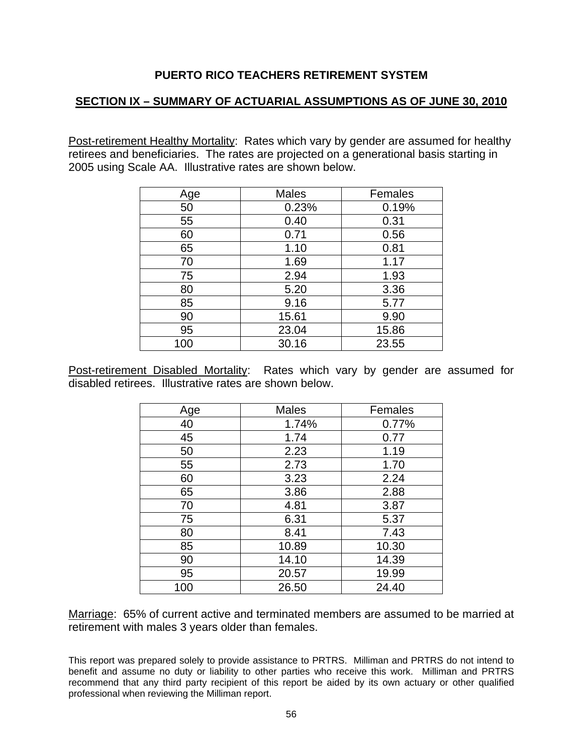# **SECTION IX – SUMMARY OF ACTUARIAL ASSUMPTIONS AS OF JUNE 30, 2010**

Post-retirement Healthy Mortality: Rates which vary by gender are assumed for healthy retirees and beneficiaries. The rates are projected on a generational basis starting in 2005 using Scale AA. Illustrative rates are shown below.

| Age | <b>Males</b> | Females |
|-----|--------------|---------|
| 50  | 0.23%        | 0.19%   |
| 55  | 0.40         | 0.31    |
| 60  | 0.71         | 0.56    |
| 65  | 1.10         | 0.81    |
| 70  | 1.69         | 1.17    |
| 75  | 2.94         | 1.93    |
| 80  | 5.20         | 3.36    |
| 85  | 9.16         | 5.77    |
| 90  | 15.61        | 9.90    |
| 95  | 23.04        | 15.86   |
| 100 | 30.16        | 23.55   |

Post-retirement Disabled Mortality: Rates which vary by gender are assumed for disabled retirees. Illustrative rates are shown below.

| Age | <b>Males</b> | Females |
|-----|--------------|---------|
| 40  | 1.74%        | 0.77%   |
| 45  | 1.74         | 0.77    |
| 50  | 2.23         | 1.19    |
| 55  | 2.73         | 1.70    |
| 60  | 3.23         | 2.24    |
| 65  | 3.86         | 2.88    |
| 70  | 4.81         | 3.87    |
| 75  | 6.31         | 5.37    |
| 80  | 8.41         | 7.43    |
| 85  | 10.89        | 10.30   |
| 90  | 14.10        | 14.39   |
| 95  | 20.57        | 19.99   |
| 100 | 26.50        | 24.40   |

Marriage: 65% of current active and terminated members are assumed to be married at retirement with males 3 years older than females.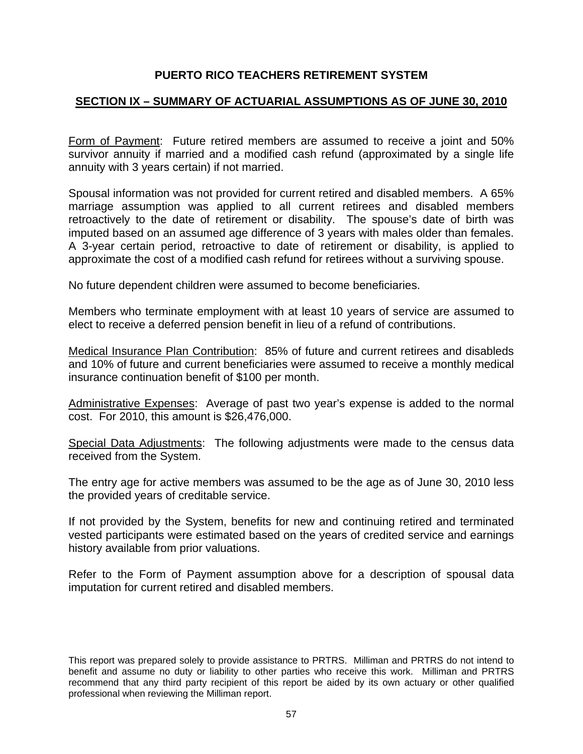# **SECTION IX – SUMMARY OF ACTUARIAL ASSUMPTIONS AS OF JUNE 30, 2010**

Form of Payment: Future retired members are assumed to receive a joint and 50% survivor annuity if married and a modified cash refund (approximated by a single life annuity with 3 years certain) if not married.

Spousal information was not provided for current retired and disabled members. A 65% marriage assumption was applied to all current retirees and disabled members retroactively to the date of retirement or disability. The spouse's date of birth was imputed based on an assumed age difference of 3 years with males older than females. A 3-year certain period, retroactive to date of retirement or disability, is applied to approximate the cost of a modified cash refund for retirees without a surviving spouse.

No future dependent children were assumed to become beneficiaries.

Members who terminate employment with at least 10 years of service are assumed to elect to receive a deferred pension benefit in lieu of a refund of contributions.

Medical Insurance Plan Contribution: 85% of future and current retirees and disableds and 10% of future and current beneficiaries were assumed to receive a monthly medical insurance continuation benefit of \$100 per month.

Administrative Expenses: Average of past two year's expense is added to the normal cost. For 2010, this amount is \$26,476,000.

Special Data Adjustments: The following adjustments were made to the census data received from the System.

The entry age for active members was assumed to be the age as of June 30, 2010 less the provided years of creditable service.

If not provided by the System, benefits for new and continuing retired and terminated vested participants were estimated based on the years of credited service and earnings history available from prior valuations.

Refer to the Form of Payment assumption above for a description of spousal data imputation for current retired and disabled members.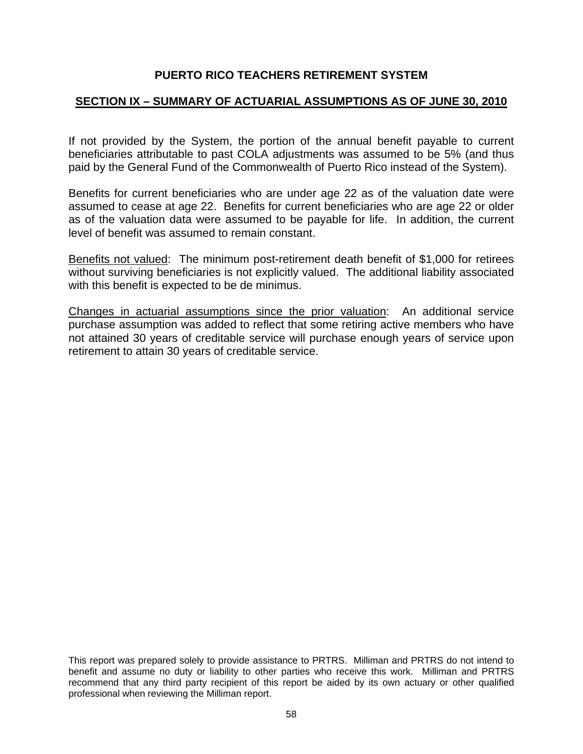# **SECTION IX – SUMMARY OF ACTUARIAL ASSUMPTIONS AS OF JUNE 30, 2010**

If not provided by the System, the portion of the annual benefit payable to current beneficiaries attributable to past COLA adjustments was assumed to be 5% (and thus paid by the General Fund of the Commonwealth of Puerto Rico instead of the System).

Benefits for current beneficiaries who are under age 22 as of the valuation date were assumed to cease at age 22. Benefits for current beneficiaries who are age 22 or older as of the valuation data were assumed to be payable for life. In addition, the current level of benefit was assumed to remain constant.

Benefits not valued: The minimum post-retirement death benefit of \$1,000 for retirees without surviving beneficiaries is not explicitly valued. The additional liability associated with this benefit is expected to be de minimus.

Changes in actuarial assumptions since the prior valuation: An additional service purchase assumption was added to reflect that some retiring active members who have not attained 30 years of creditable service will purchase enough years of service upon retirement to attain 30 years of creditable service.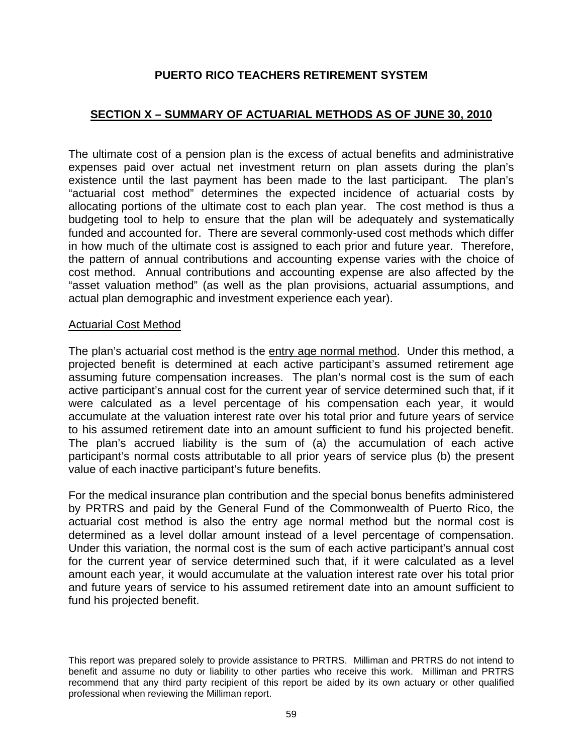# **SECTION X – SUMMARY OF ACTUARIAL METHODS AS OF JUNE 30, 2010**

The ultimate cost of a pension plan is the excess of actual benefits and administrative expenses paid over actual net investment return on plan assets during the plan's existence until the last payment has been made to the last participant. The plan's "actuarial cost method" determines the expected incidence of actuarial costs by allocating portions of the ultimate cost to each plan year. The cost method is thus a budgeting tool to help to ensure that the plan will be adequately and systematically funded and accounted for. There are several commonly-used cost methods which differ in how much of the ultimate cost is assigned to each prior and future year. Therefore, the pattern of annual contributions and accounting expense varies with the choice of cost method. Annual contributions and accounting expense are also affected by the "asset valuation method" (as well as the plan provisions, actuarial assumptions, and actual plan demographic and investment experience each year).

#### Actuarial Cost Method

The plan's actuarial cost method is the entry age normal method. Under this method, a projected benefit is determined at each active participant's assumed retirement age assuming future compensation increases. The plan's normal cost is the sum of each active participant's annual cost for the current year of service determined such that, if it were calculated as a level percentage of his compensation each year, it would accumulate at the valuation interest rate over his total prior and future years of service to his assumed retirement date into an amount sufficient to fund his projected benefit. The plan's accrued liability is the sum of (a) the accumulation of each active participant's normal costs attributable to all prior years of service plus (b) the present value of each inactive participant's future benefits.

For the medical insurance plan contribution and the special bonus benefits administered by PRTRS and paid by the General Fund of the Commonwealth of Puerto Rico, the actuarial cost method is also the entry age normal method but the normal cost is determined as a level dollar amount instead of a level percentage of compensation. Under this variation, the normal cost is the sum of each active participant's annual cost for the current year of service determined such that, if it were calculated as a level amount each year, it would accumulate at the valuation interest rate over his total prior and future years of service to his assumed retirement date into an amount sufficient to fund his projected benefit.

This report was prepared solely to provide assistance to PRTRS. Milliman and PRTRS do not intend to benefit and assume no duty or liability to other parties who receive this work. Milliman and PRTRS recommend that any third party recipient of this report be aided by its own actuary or other qualified professional when reviewing the Milliman report.